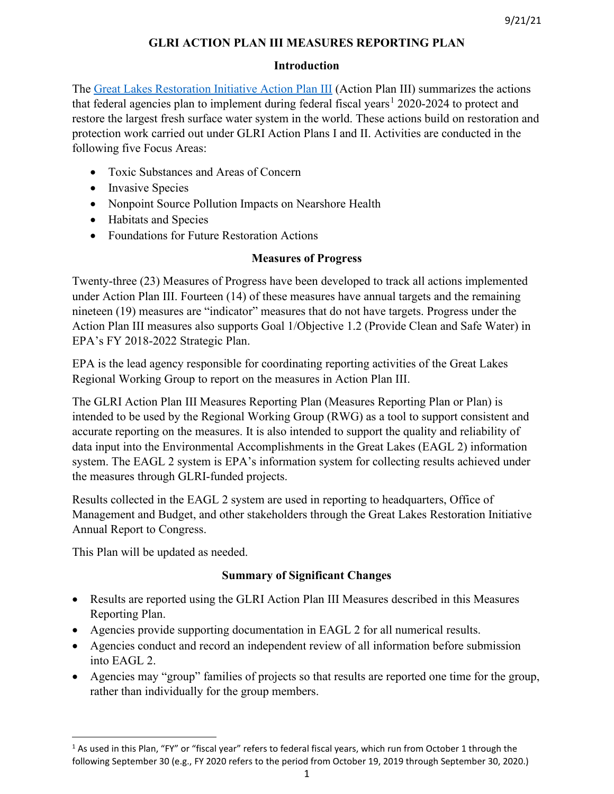# **GLRI ACTION PLAN III MEASURES REPORTING PLAN**

# **Introduction**

The [Great Lakes Restoration Initiative Action Plan III](https://www.epa.gov/sites/production/files/2019-10/documents/glri-action-plan-3-201910-30pp.pdf) (Action Plan III) summarizes the actions that federal agencies plan to implement during federal fiscal years<sup>[1](#page-0-0)</sup> 2020-2024 to protect and restore the largest fresh surface water system in the world. These actions build on restoration and protection work carried out under GLRI Action Plans I and II. Activities are conducted in the following five Focus Areas:

- Toxic Substances and Areas of Concern
- Invasive Species
- Nonpoint Source Pollution Impacts on Nearshore Health
- Habitats and Species
- Foundations for Future Restoration Actions

# **Measures of Progress**

Twenty-three (23) Measures of Progress have been developed to track all actions implemented under Action Plan III. Fourteen (14) of these measures have annual targets and the remaining nineteen (19) measures are "indicator" measures that do not have targets. Progress under the Action Plan III measures also supports Goal 1/Objective 1.2 (Provide Clean and Safe Water) in EPA's FY 2018-2022 Strategic Plan.

EPA is the lead agency responsible for coordinating reporting activities of the Great Lakes Regional Working Group to report on the measures in Action Plan III.

The GLRI Action Plan III Measures Reporting Plan (Measures Reporting Plan or Plan) is intended to be used by the Regional Working Group (RWG) as a tool to support consistent and accurate reporting on the measures. It is also intended to support the quality and reliability of data input into the Environmental Accomplishments in the Great Lakes (EAGL 2) information system. The EAGL 2 system is EPA's information system for collecting results achieved under the measures through GLRI-funded projects.

Results collected in the EAGL 2 system are used in reporting to headquarters, Office of Management and Budget, and other stakeholders through the Great Lakes Restoration Initiative Annual Report to Congress.

This Plan will be updated as needed.

# **Summary of Significant Changes**

- Results are reported using the GLRI Action Plan III Measures described in this Measures Reporting Plan.
- Agencies provide supporting documentation in EAGL 2 for all numerical results.
- Agencies conduct and record an independent review of all information before submission into EAGL 2.
- Agencies may "group" families of projects so that results are reported one time for the group, rather than individually for the group members.

<span id="page-0-0"></span><sup>&</sup>lt;sup>1</sup> As used in this Plan, "FY" or "fiscal year" refers to federal fiscal years, which run from October 1 through the following September 30 (e.g., FY 2020 refers to the period from October 19, 2019 through September 30, 2020.)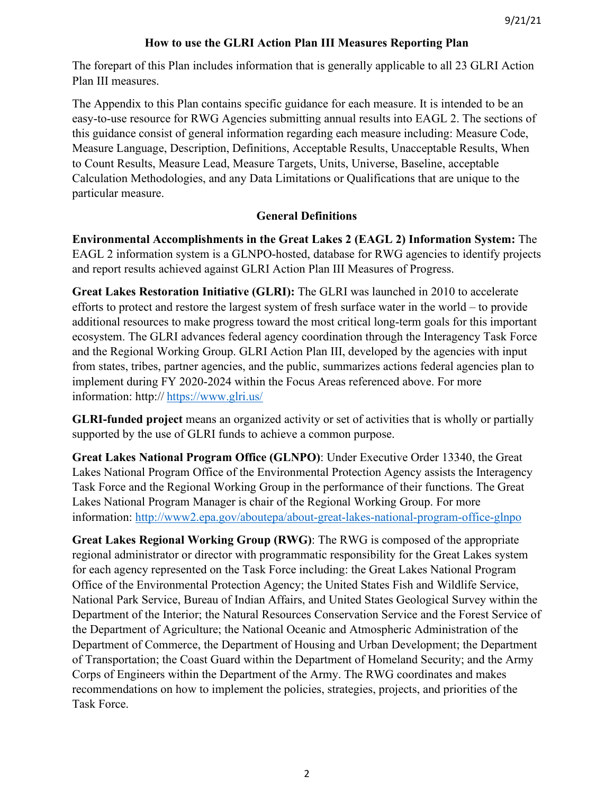# **How to use the GLRI Action Plan III Measures Reporting Plan**

The forepart of this Plan includes information that is generally applicable to all 23 GLRI Action Plan III measures.

The Appendix to this Plan contains specific guidance for each measure. It is intended to be an easy-to-use resource for RWG Agencies submitting annual results into EAGL 2. The sections of this guidance consist of general information regarding each measure including: Measure Code, Measure Language, Description, Definitions, Acceptable Results, Unacceptable Results, When to Count Results, Measure Lead, Measure Targets, Units, Universe, Baseline, acceptable Calculation Methodologies, and any Data Limitations or Qualifications that are unique to the particular measure.

# **General Definitions**

**Environmental Accomplishments in the Great Lakes 2 (EAGL 2) Information System:** The EAGL 2 information system is a GLNPO-hosted, database for RWG agencies to identify projects and report results achieved against GLRI Action Plan III Measures of Progress.

**Great Lakes Restoration Initiative (GLRI):** The GLRI was launched in 2010 to accelerate efforts to protect and restore the largest system of fresh surface water in the world – to provide additional resources to make progress toward the most critical long-term goals for this important ecosystem. The GLRI advances federal agency coordination through the Interagency Task Force and the Regional Working Group. GLRI Action Plan III, developed by the agencies with input from states, tribes, partner agencies, and the public, summarizes actions federal agencies plan to implement during FY 2020-2024 within the Focus Areas referenced above. For more information: http:// <https://www.glri.us/>

**GLRI-funded project** means an organized activity or set of activities that is wholly or partially supported by the use of GLRI funds to achieve a common purpose.

**Great Lakes National Program Office (GLNPO)**: Under Executive Order 13340, the Great Lakes National Program Office of the Environmental Protection Agency assists the Interagency Task Force and the Regional Working Group in the performance of their functions. The Great Lakes National Program Manager is chair of the Regional Working Group. For more information:<http://www2.epa.gov/aboutepa/about-great-lakes-national-program-office-glnpo>

**Great Lakes Regional Working Group (RWG)**: The RWG is composed of the appropriate regional administrator or director with programmatic responsibility for the Great Lakes system for each agency represented on the Task Force including: the Great Lakes National Program Office of the Environmental Protection Agency; the United States Fish and Wildlife Service, National Park Service, Bureau of Indian Affairs, and United States Geological Survey within the Department of the Interior; the Natural Resources Conservation Service and the Forest Service of the Department of Agriculture; the National Oceanic and Atmospheric Administration of the Department of Commerce, the Department of Housing and Urban Development; the Department of Transportation; the Coast Guard within the Department of Homeland Security; and the Army Corps of Engineers within the Department of the Army. The RWG coordinates and makes recommendations on how to implement the policies, strategies, projects, and priorities of the Task Force.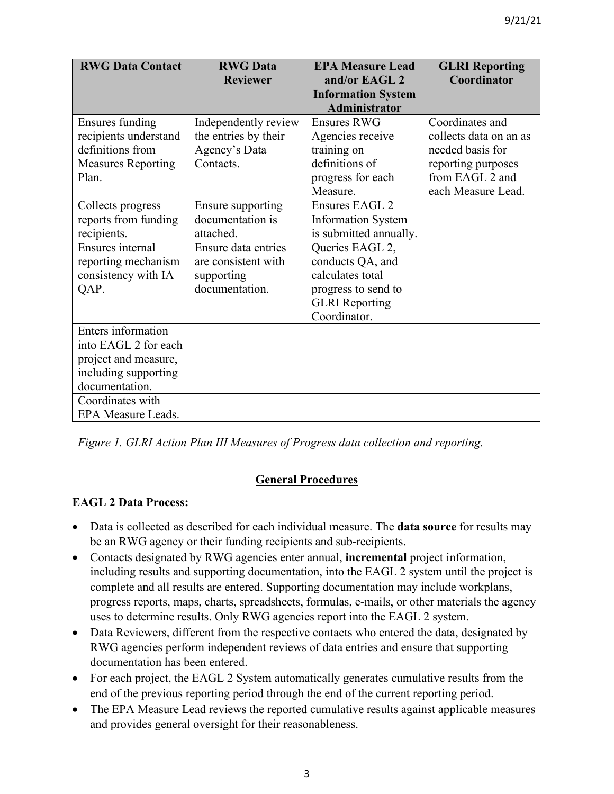| <b>RWG Data Contact</b>   | <b>RWG</b> Data      | <b>EPA Measure Lead</b>                    | <b>GLRI Reporting</b>  |
|---------------------------|----------------------|--------------------------------------------|------------------------|
|                           | <b>Reviewer</b>      | and/or EAGL 2<br><b>Information System</b> | Coordinator            |
|                           |                      | <b>Administrator</b>                       |                        |
| Ensures funding           | Independently review | <b>Ensures RWG</b>                         | Coordinates and        |
| recipients understand     | the entries by their | Agencies receive                           | collects data on an as |
| definitions from          | Agency's Data        | training on                                | needed basis for       |
| <b>Measures Reporting</b> | Contacts.            | definitions of                             | reporting purposes     |
| Plan.                     |                      | progress for each                          | from EAGL 2 and        |
|                           |                      | Measure.                                   | each Measure Lead.     |
| Collects progress         | Ensure supporting    | Ensures EAGL 2                             |                        |
| reports from funding      | documentation is     | <b>Information System</b>                  |                        |
| recipients.               | attached.            | is submitted annually.                     |                        |
| Ensures internal          | Ensure data entries  | Queries EAGL 2,                            |                        |
| reporting mechanism       | are consistent with  | conducts QA, and                           |                        |
| consistency with IA       | supporting           | calculates total                           |                        |
| QAP.                      | documentation.       | progress to send to                        |                        |
|                           |                      | <b>GLRI</b> Reporting                      |                        |
|                           |                      | Coordinator.                               |                        |
| <b>Enters</b> information |                      |                                            |                        |
| into EAGL 2 for each      |                      |                                            |                        |
| project and measure,      |                      |                                            |                        |
| including supporting      |                      |                                            |                        |
| documentation.            |                      |                                            |                        |
| Coordinates with          |                      |                                            |                        |
| EPA Measure Leads.        |                      |                                            |                        |

*Figure 1. GLRI Action Plan III Measures of Progress data collection and reporting.*

# **General Procedures**

# **EAGL 2 Data Process:**

- Data is collected as described for each individual measure. The **data source** for results may be an RWG agency or their funding recipients and sub-recipients.
- Contacts designated by RWG agencies enter annual, **incremental** project information, including results and supporting documentation, into the EAGL 2 system until the project is complete and all results are entered. Supporting documentation may include workplans, progress reports, maps, charts, spreadsheets, formulas, e-mails, or other materials the agency uses to determine results. Only RWG agencies report into the EAGL 2 system.
- Data Reviewers, different from the respective contacts who entered the data, designated by RWG agencies perform independent reviews of data entries and ensure that supporting documentation has been entered.
- For each project, the EAGL 2 System automatically generates cumulative results from the end of the previous reporting period through the end of the current reporting period.
- The EPA Measure Lead reviews the reported cumulative results against applicable measures and provides general oversight for their reasonableness.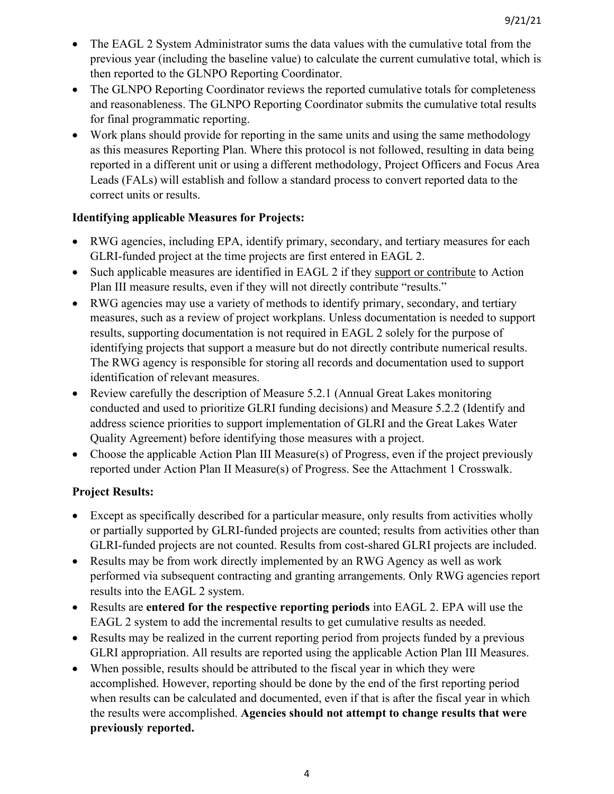- The EAGL 2 System Administrator sums the data values with the cumulative total from the previous year (including the baseline value) to calculate the current cumulative total, which is then reported to the GLNPO Reporting Coordinator.
- The GLNPO Reporting Coordinator reviews the reported cumulative totals for completeness and reasonableness. The GLNPO Reporting Coordinator submits the cumulative total results for final programmatic reporting.
- Work plans should provide for reporting in the same units and using the same methodology as this measures Reporting Plan. Where this protocol is not followed, resulting in data being reported in a different unit or using a different methodology, Project Officers and Focus Area Leads (FALs) will establish and follow a standard process to convert reported data to the correct units or results.

# **Identifying applicable Measures for Projects:**

- RWG agencies, including EPA, identify primary, secondary, and tertiary measures for each GLRI-funded project at the time projects are first entered in EAGL 2.
- Such applicable measures are identified in EAGL 2 if they support or contribute to Action Plan III measure results, even if they will not directly contribute "results."
- RWG agencies may use a variety of methods to identify primary, secondary, and tertiary measures, such as a review of project workplans. Unless documentation is needed to support results, supporting documentation is not required in EAGL 2 solely for the purpose of identifying projects that support a measure but do not directly contribute numerical results. The RWG agency is responsible for storing all records and documentation used to support identification of relevant measures.
- Review carefully the description of Measure 5.2.1 (Annual Great Lakes monitoring conducted and used to prioritize GLRI funding decisions) and Measure 5.2.2 (Identify and address science priorities to support implementation of GLRI and the Great Lakes Water Quality Agreement) before identifying those measures with a project.
- Choose the applicable Action Plan III Measure(s) of Progress, even if the project previously reported under Action Plan II Measure(s) of Progress. See the Attachment 1 Crosswalk.

# **Project Results:**

- Except as specifically described for a particular measure, only results from activities wholly or partially supported by GLRI-funded projects are counted; results from activities other than GLRI-funded projects are not counted. Results from cost-shared GLRI projects are included.
- Results may be from work directly implemented by an RWG Agency as well as work performed via subsequent contracting and granting arrangements. Only RWG agencies report results into the EAGL 2 system.
- Results are **entered for the respective reporting periods** into EAGL 2. EPA will use the EAGL 2 system to add the incremental results to get cumulative results as needed.
- Results may be realized in the current reporting period from projects funded by a previous GLRI appropriation. All results are reported using the applicable Action Plan III Measures.
- When possible, results should be attributed to the fiscal year in which they were accomplished. However, reporting should be done by the end of the first reporting period when results can be calculated and documented, even if that is after the fiscal year in which the results were accomplished. **Agencies should not attempt to change results that were previously reported.**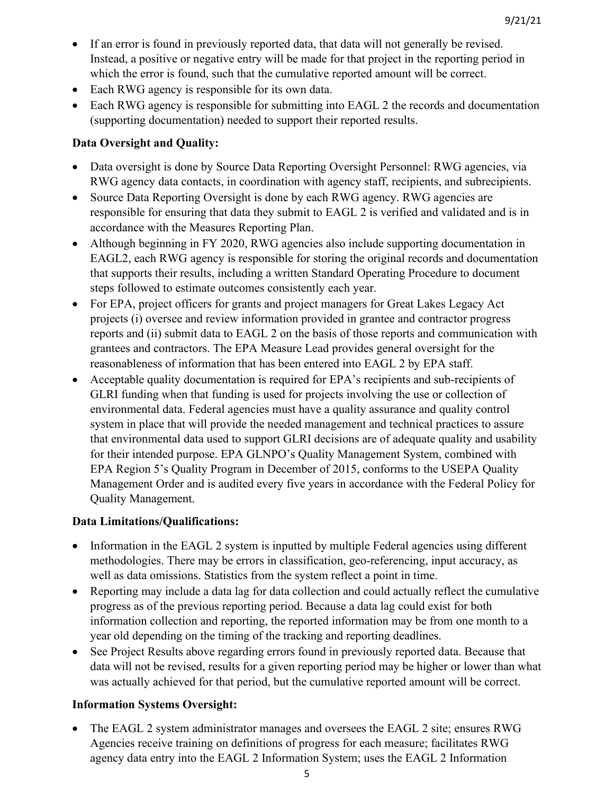- If an error is found in previously reported data, that data will not generally be revised. Instead, a positive or negative entry will be made for that project in the reporting period in which the error is found, such that the cumulative reported amount will be correct.
- Each RWG agency is responsible for its own data.
- Each RWG agency is responsible for submitting into EAGL 2 the records and documentation (supporting documentation) needed to support their reported results.

# **Data Oversight and Quality:**

- Data oversight is done by Source Data Reporting Oversight Personnel: RWG agencies, via RWG agency data contacts, in coordination with agency staff, recipients, and subrecipients.
- Source Data Reporting Oversight is done by each RWG agency. RWG agencies are responsible for ensuring that data they submit to EAGL 2 is verified and validated and is in accordance with the Measures Reporting Plan.
- Although beginning in FY 2020, RWG agencies also include supporting documentation in EAGL2, each RWG agency is responsible for storing the original records and documentation that supports their results, including a written Standard Operating Procedure to document steps followed to estimate outcomes consistently each year.
- For EPA, project officers for grants and project managers for Great Lakes Legacy Act projects (i) oversee and review information provided in grantee and contractor progress reports and (ii) submit data to EAGL 2 on the basis of those reports and communication with grantees and contractors. The EPA Measure Lead provides general oversight for the reasonableness of information that has been entered into EAGL 2 by EPA staff.
- Acceptable quality documentation is required for EPA's recipients and sub-recipients of GLRI funding when that funding is used for projects involving the use or collection of environmental data. Federal agencies must have a quality assurance and quality control system in place that will provide the needed management and technical practices to assure that environmental data used to support GLRI decisions are of adequate quality and usability for their intended purpose. EPA GLNPO's Quality Management System, combined with EPA Region 5's Quality Program in December of 2015, conforms to the USEPA Quality Management Order and is audited every five years in accordance with the Federal Policy for Quality Management.

# **Data Limitations/Qualifications:**

- Information in the EAGL 2 system is inputted by multiple Federal agencies using different methodologies. There may be errors in classification, geo-referencing, input accuracy, as well as data omissions. Statistics from the system reflect a point in time.
- Reporting may include a data lag for data collection and could actually reflect the cumulative progress as of the previous reporting period. Because a data lag could exist for both information collection and reporting, the reported information may be from one month to a year old depending on the timing of the tracking and reporting deadlines.
- See Project Results above regarding errors found in previously reported data. Because that data will not be revised, results for a given reporting period may be higher or lower than what was actually achieved for that period, but the cumulative reported amount will be correct.

# **Information Systems Oversight:**

• The EAGL 2 system administrator manages and oversees the EAGL 2 site; ensures RWG Agencies receive training on definitions of progress for each measure; facilitates RWG agency data entry into the EAGL 2 Information System; uses the EAGL 2 Information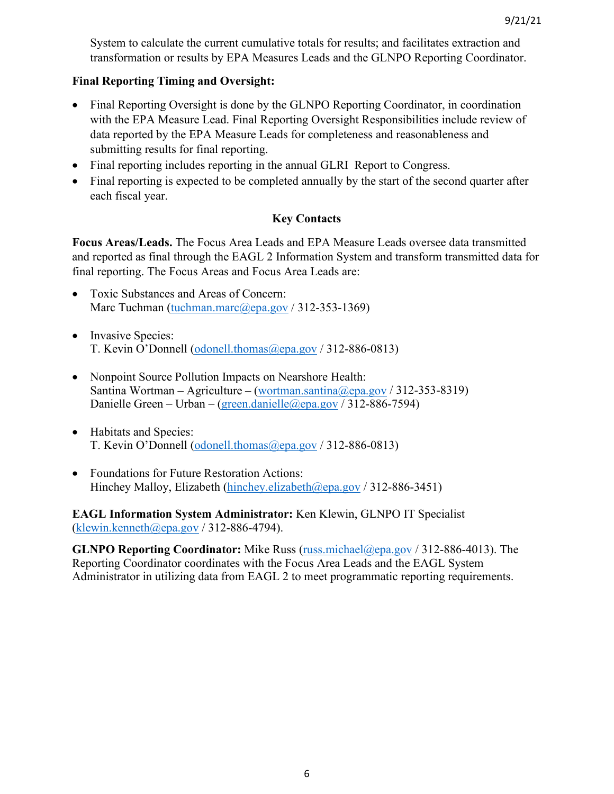System to calculate the current cumulative totals for results; and facilitates extraction and transformation or results by EPA Measures Leads and the GLNPO Reporting Coordinator.

# **Final Reporting Timing and Oversight:**

- Final Reporting Oversight is done by the GLNPO Reporting Coordinator, in coordination with the EPA Measure Lead. Final Reporting Oversight Responsibilities include review of data reported by the EPA Measure Leads for completeness and reasonableness and submitting results for final reporting.
- Final reporting includes reporting in the annual GLRI Report to Congress.
- Final reporting is expected to be completed annually by the start of the second quarter after each fiscal year.

# **Key Contacts**

**Focus Areas/Leads.** The Focus Area Leads and EPA Measure Leads oversee data transmitted and reported as final through the EAGL 2 Information System and transform transmitted data for final reporting. The Focus Areas and Focus Area Leads are:

- Toxic Substances and Areas of Concern: Marc Tuchman [\(tuchman.marc@epa.gov](https://usepa-my.sharepoint.com/personal/russ_michael_epa_gov/Tom%20Clement%20files/Guidance%20Documents/tuchman.marc@epa.gov) / 312-353-1369)
- Invasive Species: T. Kevin O'Donnell [\(odonell.thomas@epa.gov](https://usepa-my.sharepoint.com/personal/russ_michael_epa_gov/Tom%20Clement%20files/Guidance%20Documents/odonell.thomas@epa.gov) / 312-886-0813)
- Nonpoint Source Pollution Impacts on Nearshore Health: Santina Wortman – Agriculture – [\(wortman.santina@epa.gov](mailto:wortman.santina@epa.gov) / 312-353-8319) Danielle Green – Urban – [\(green.danielle@epa.gov](mailto:green.danielle@epa.gov) / 312-886-7594)
- Habitats and Species: T. Kevin O'Donnell [\(odonell.thomas@epa.gov](mailto:odonell.thomas@epa.gov) / 312-886-0813)
- Foundations for Future Restoration Actions: Hinchey Malloy, Elizabeth [\(hinchey.elizabeth@epa.gov](mailto:hinchey.elizabeth@epa.gov) / 312-886-3451)

**EAGL Information System Administrator:** Ken Klewin, GLNPO IT Specialist  $(k$ lewin.kenneth@epa.gov / 312-886-4794).

**GLNPO Reporting Coordinator:** Mike Russ [\(russ.michael@epa.gov](mailto:russ.michael@epa.gov) / 312-886-4013). The Reporting Coordinator coordinates with the Focus Area Leads and the EAGL System Administrator in utilizing data from EAGL 2 to meet programmatic reporting requirements.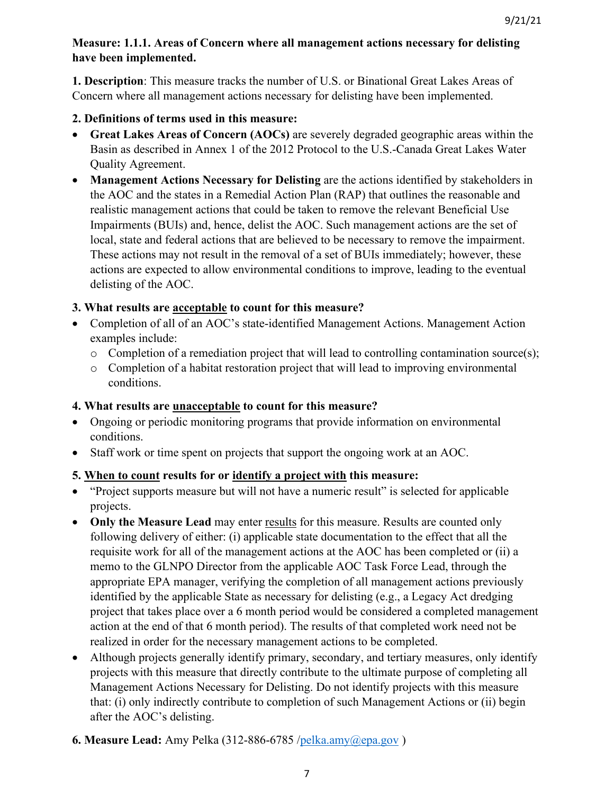# **Measure: 1.1.1. Areas of Concern where all management actions necessary for delisting have been implemented.**

**1. Description**: This measure tracks the number of U.S. or Binational Great Lakes Areas of Concern where all management actions necessary for delisting have been implemented.

# **2. Definitions of terms used in this measure:**

- **Great Lakes Areas of Concern (AOCs)** are severely degraded geographic areas within the Basin as described in Annex 1 of the 2012 Protocol to the U.S.-Canada Great Lakes Water Quality Agreement.
- **Management Actions Necessary for Delisting** are the actions identified by stakeholders in the AOC and the states in a Remedial Action Plan (RAP) that outlines the reasonable and realistic management actions that could be taken to remove the relevant Beneficial Use Impairments (BUIs) and, hence, delist the AOC. Such management actions are the set of local, state and federal actions that are believed to be necessary to remove the impairment. These actions may not result in the removal of a set of BUIs immediately; however, these actions are expected to allow environmental conditions to improve, leading to the eventual delisting of the AOC.

# **3. What results are acceptable to count for this measure?**

- Completion of all of an AOC's state-identified Management Actions. Management Action examples include:
	- o Completion of a remediation project that will lead to controlling contamination source(s);
	- o Completion of a habitat restoration project that will lead to improving environmental conditions.

# **4. What results are unacceptable to count for this measure?**

- Ongoing or periodic monitoring programs that provide information on environmental conditions.
- Staff work or time spent on projects that support the ongoing work at an AOC.

# **5. When to count results for or identify a project with this measure:**

- "Project supports measure but will not have a numeric result" is selected for applicable projects.
- **Only the Measure Lead** may enter results for this measure. Results are counted only following delivery of either: (i) applicable state documentation to the effect that all the requisite work for all of the management actions at the AOC has been completed or (ii) a memo to the GLNPO Director from the applicable AOC Task Force Lead, through the appropriate EPA manager, verifying the completion of all management actions previously identified by the applicable State as necessary for delisting (e.g., a Legacy Act dredging project that takes place over a 6 month period would be considered a completed management action at the end of that 6 month period). The results of that completed work need not be realized in order for the necessary management actions to be completed.
- Although projects generally identify primary, secondary, and tertiary measures, only identify projects with this measure that directly contribute to the ultimate purpose of completing all Management Actions Necessary for Delisting. Do not identify projects with this measure that: (i) only indirectly contribute to completion of such Management Actions or (ii) begin after the AOC's delisting.
- **6. Measure Lead:** Amy Pelka (312-886-6785 [/pelka.amy@epa.gov](mailto:pelka.amy@epa.gov) )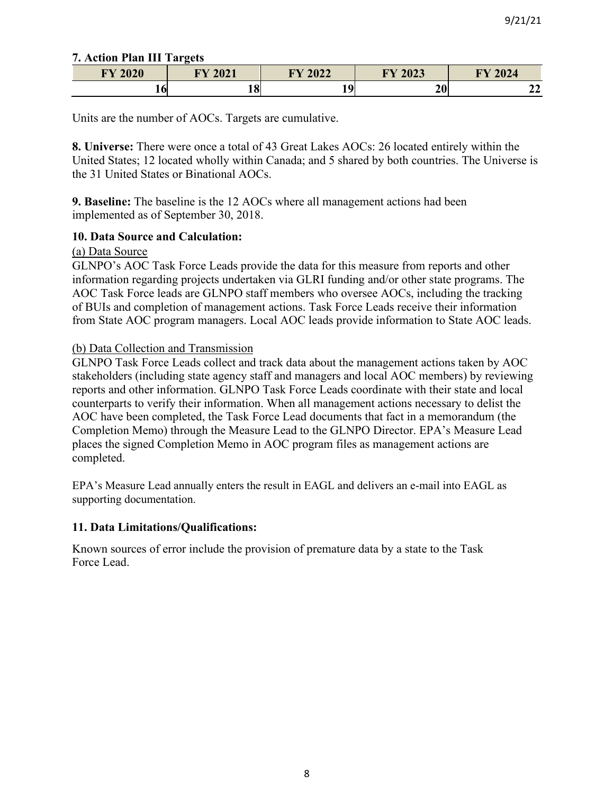### **7. Action Plan III Targets**

| <b>FY 2020</b> | <b>FY 2021</b> | <b>FY 2022</b> | FY 2023  | Y2024<br>ПТ  |
|----------------|----------------|----------------|----------|--------------|
| 10I            | ۱O<br>10I      | $\mathbf{o}$   | ኅሰ<br>ZV | $\sim$<br>44 |

Units are the number of AOCs. Targets are cumulative.

**8. Universe:** There were once a total of 43 Great Lakes AOCs: 26 located entirely within the United States; 12 located wholly within Canada; and 5 shared by both countries. The Universe is the 31 United States or Binational AOCs.

**9. Baseline:** The baseline is the 12 AOCs where all management actions had been implemented as of September 30, 2018.

### **10. Data Source and Calculation:**

### (a) Data Source

GLNPO's AOC Task Force Leads provide the data for this measure from reports and other information regarding projects undertaken via GLRI funding and/or other state programs. The AOC Task Force leads are GLNPO staff members who oversee AOCs, including the tracking of BUIs and completion of management actions. Task Force Leads receive their information from State AOC program managers. Local AOC leads provide information to State AOC leads.

### (b) Data Collection and Transmission

GLNPO Task Force Leads collect and track data about the management actions taken by AOC stakeholders (including state agency staff and managers and local AOC members) by reviewing reports and other information. GLNPO Task Force Leads coordinate with their state and local counterparts to verify their information. When all management actions necessary to delist the AOC have been completed, the Task Force Lead documents that fact in a memorandum (the Completion Memo) through the Measure Lead to the GLNPO Director. EPA's Measure Lead places the signed Completion Memo in AOC program files as management actions are completed.

EPA's Measure Lead annually enters the result in EAGL and delivers an e-mail into EAGL as supporting documentation.

### **11. Data Limitations/Qualifications:**

Known sources of error include the provision of premature data by a state to the Task Force Lead.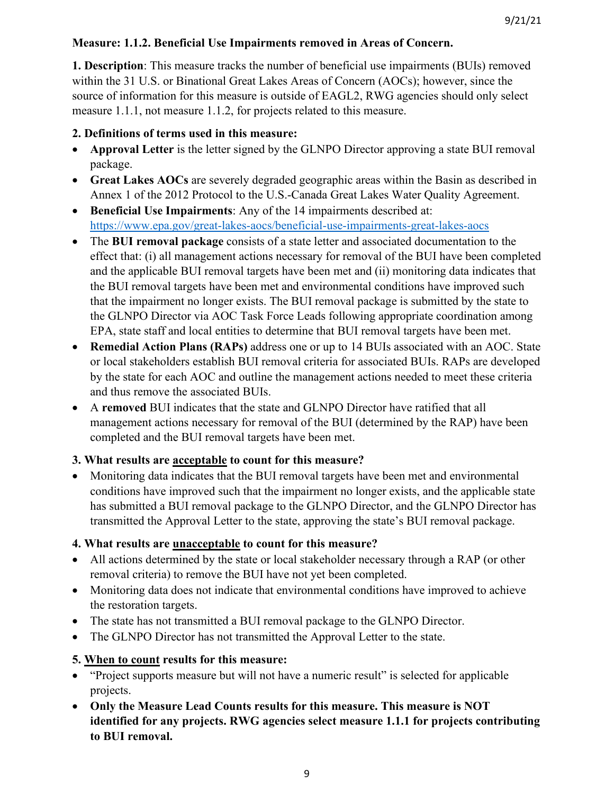# **Measure: 1.1.2. Beneficial Use Impairments removed in Areas of Concern.**

**1. Description**: This measure tracks the number of beneficial use impairments (BUIs) removed within the 31 U.S. or Binational Great Lakes Areas of Concern (AOCs); however, since the source of information for this measure is outside of EAGL2, RWG agencies should only select measure 1.1.1, not measure 1.1.2, for projects related to this measure.

# **2. Definitions of terms used in this measure:**

- **Approval Letter** is the letter signed by the GLNPO Director approving a state BUI removal package.
- **Great Lakes AOCs** are severely degraded geographic areas within the Basin as described in Annex 1 of the 2012 Protocol to the U.S.-Canada Great Lakes Water Quality Agreement.
- **Beneficial Use Impairments**: Any of the 14 impairments described at: <https://www.epa.gov/great-lakes-aocs/beneficial-use-impairments-great-lakes-aocs>
- The **BUI removal package** consists of a state letter and associated documentation to the effect that: (i) all management actions necessary for removal of the BUI have been completed and the applicable BUI removal targets have been met and (ii) monitoring data indicates that the BUI removal targets have been met and environmental conditions have improved such that the impairment no longer exists. The BUI removal package is submitted by the state to the GLNPO Director via AOC Task Force Leads following appropriate coordination among EPA, state staff and local entities to determine that BUI removal targets have been met.
- **Remedial Action Plans (RAPs)** address one or up to 14 BUIs associated with an AOC. State or local stakeholders establish BUI removal criteria for associated BUIs. RAPs are developed by the state for each AOC and outline the management actions needed to meet these criteria and thus remove the associated BUIs.
- A **removed** BUI indicates that the state and GLNPO Director have ratified that all management actions necessary for removal of the BUI (determined by the RAP) have been completed and the BUI removal targets have been met.

# **3. What results are acceptable to count for this measure?**

• Monitoring data indicates that the BUI removal targets have been met and environmental conditions have improved such that the impairment no longer exists, and the applicable state has submitted a BUI removal package to the GLNPO Director, and the GLNPO Director has transmitted the Approval Letter to the state, approving the state's BUI removal package.

# **4. What results are unacceptable to count for this measure?**

- All actions determined by the state or local stakeholder necessary through a RAP (or other removal criteria) to remove the BUI have not yet been completed.
- Monitoring data does not indicate that environmental conditions have improved to achieve the restoration targets.
- The state has not transmitted a BUI removal package to the GLNPO Director.
- The GLNPO Director has not transmitted the Approval Letter to the state.

# **5. When to count results for this measure:**

- "Project supports measure but will not have a numeric result" is selected for applicable projects.
- **Only the Measure Lead Counts results for this measure. This measure is NOT identified for any projects. RWG agencies select measure 1.1.1 for projects contributing to BUI removal.**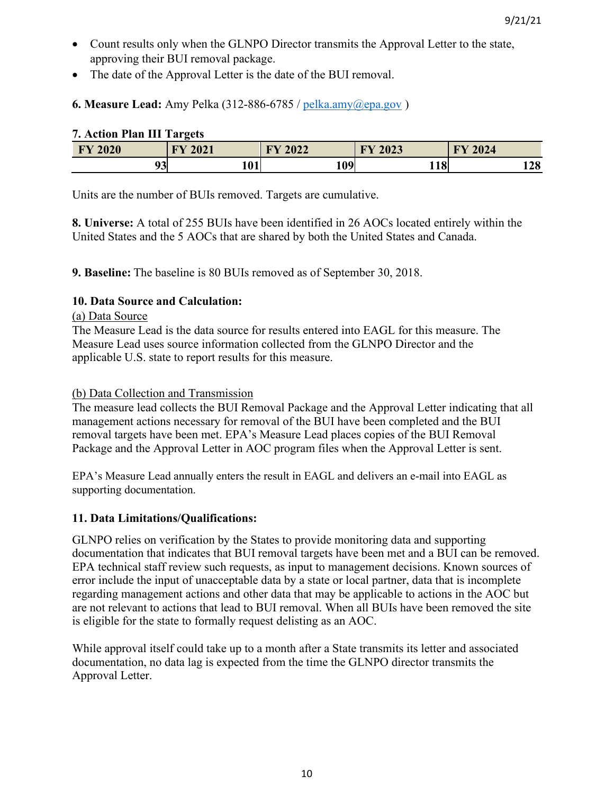- Count results only when the GLNPO Director transmits the Approval Letter to the state, approving their BUI removal package.
- The date of the Approval Letter is the date of the BUI removal.

**6. Measure Lead:** Amy Pelka (312-886-6785 / [pelka.amy@epa.gov](mailto:pelka.amy@epa.gov) )

| $\ldots$       |                   |      |                     |                                |  |
|----------------|-------------------|------|---------------------|--------------------------------|--|
| <b>FY 2020</b> | 2021<br><b>TN</b> | 2022 | 2023<br><b>TILE</b> | 2024<br>$\mathbf{F}\mathbf{V}$ |  |
| 93             | 101               | 109  | 1 O<br>$-10$        | 128                            |  |

# **7. Action Plan III Targets**

Units are the number of BUIs removed. Targets are cumulative.

**8. Universe:** A total of 255 BUIs have been identified in 26 AOCs located entirely within the United States and the 5 AOCs that are shared by both the United States and Canada.

**9. Baseline:** The baseline is 80 BUIs removed as of September 30, 2018.

# **10. Data Source and Calculation:**

### (a) Data Source

The Measure Lead is the data source for results entered into EAGL for this measure. The Measure Lead uses source information collected from the GLNPO Director and the applicable U.S. state to report results for this measure.

### (b) Data Collection and Transmission

The measure lead collects the BUI Removal Package and the Approval Letter indicating that all management actions necessary for removal of the BUI have been completed and the BUI removal targets have been met. EPA's Measure Lead places copies of the BUI Removal Package and the Approval Letter in AOC program files when the Approval Letter is sent.

EPA's Measure Lead annually enters the result in EAGL and delivers an e-mail into EAGL as supporting documentation.

### **11. Data Limitations/Qualifications:**

GLNPO relies on verification by the States to provide monitoring data and supporting documentation that indicates that BUI removal targets have been met and a BUI can be removed. EPA technical staff review such requests, as input to management decisions. Known sources of error include the input of unacceptable data by a state or local partner, data that is incomplete regarding management actions and other data that may be applicable to actions in the AOC but are not relevant to actions that lead to BUI removal. When all BUIs have been removed the site is eligible for the state to formally request delisting as an AOC.

While approval itself could take up to a month after a State transmits its letter and associated documentation, no data lag is expected from the time the GLNPO director transmits the Approval Letter.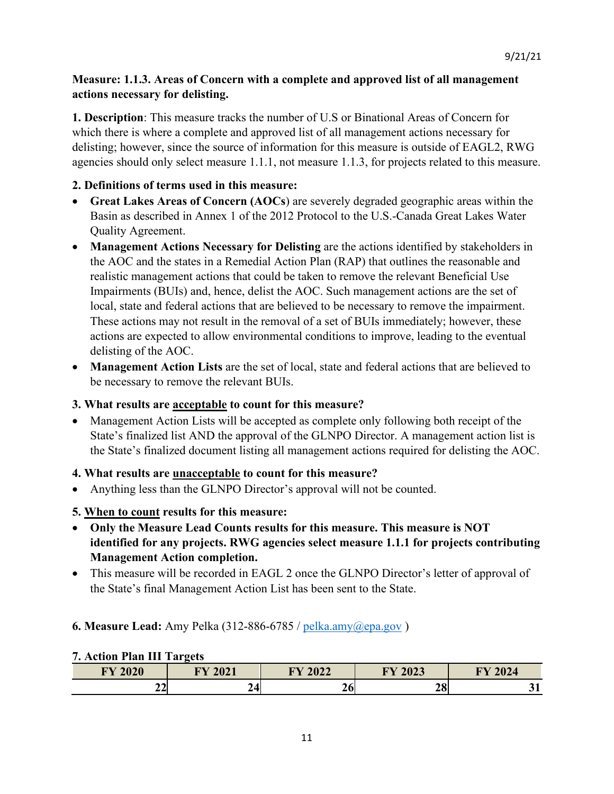# **Measure: 1.1.3. Areas of Concern with a complete and approved list of all management actions necessary for delisting.**

**1. Description**: This measure tracks the number of U.S or Binational Areas of Concern for which there is where a complete and approved list of all management actions necessary for delisting; however, since the source of information for this measure is outside of EAGL2, RWG agencies should only select measure 1.1.1, not measure 1.1.3, for projects related to this measure.

# **2. Definitions of terms used in this measure:**

- **Great Lakes Areas of Concern (AOCs**) are severely degraded geographic areas within the Basin as described in Annex 1 of the 2012 Protocol to the U.S.-Canada Great Lakes Water Quality Agreement.
- **Management Actions Necessary for Delisting** are the actions identified by stakeholders in the AOC and the states in a Remedial Action Plan (RAP) that outlines the reasonable and realistic management actions that could be taken to remove the relevant Beneficial Use Impairments (BUIs) and, hence, delist the AOC. Such management actions are the set of local, state and federal actions that are believed to be necessary to remove the impairment. These actions may not result in the removal of a set of BUIs immediately; however, these actions are expected to allow environmental conditions to improve, leading to the eventual delisting of the AOC.
- **Management Action Lists** are the set of local, state and federal actions that are believed to be necessary to remove the relevant BUIs.

# **3. What results are acceptable to count for this measure?**

• Management Action Lists will be accepted as complete only following both receipt of the State's finalized list AND the approval of the GLNPO Director. A management action list is the State's finalized document listing all management actions required for delisting the AOC.

### **4. What results are unacceptable to count for this measure?**

• Anything less than the GLNPO Director's approval will not be counted.

### **5. When to count results for this measure:**

- **Only the Measure Lead Counts results for this measure. This measure is NOT identified for any projects. RWG agencies select measure 1.1.1 for projects contributing Management Action completion.**
- This measure will be recorded in EAGL 2 once the GLNPO Director's letter of approval of the State's final Management Action List has been sent to the State.

### **6. Measure Lead:** Amy Pelka (312-886-6785 / [pelka.amy@epa.gov](mailto:pelka.amy@epa.gov) )

# **FY 2020 FY 2021 FY 2022 FY 2023 FY 2024 22 24 26 28 31**

# **7. Action Plan III Targets**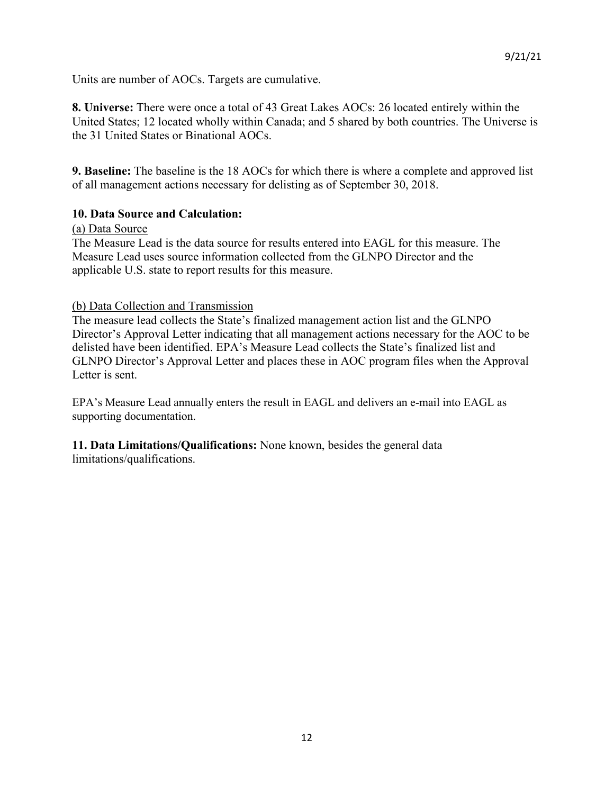Units are number of AOCs. Targets are cumulative.

**8. Universe:** There were once a total of 43 Great Lakes AOCs: 26 located entirely within the United States; 12 located wholly within Canada; and 5 shared by both countries. The Universe is the 31 United States or Binational AOCs.

**9. Baseline:** The baseline is the 18 AOCs for which there is where a complete and approved list of all management actions necessary for delisting as of September 30, 2018.

#### **10. Data Source and Calculation:**

#### (a) Data Source

The Measure Lead is the data source for results entered into EAGL for this measure. The Measure Lead uses source information collected from the GLNPO Director and the applicable U.S. state to report results for this measure.

#### (b) Data Collection and Transmission

The measure lead collects the State's finalized management action list and the GLNPO Director's Approval Letter indicating that all management actions necessary for the AOC to be delisted have been identified. EPA's Measure Lead collects the State's finalized list and GLNPO Director's Approval Letter and places these in AOC program files when the Approval Letter is sent.

EPA's Measure Lead annually enters the result in EAGL and delivers an e-mail into EAGL as supporting documentation.

**11. Data Limitations/Qualifications:** None known, besides the general data limitations/qualifications.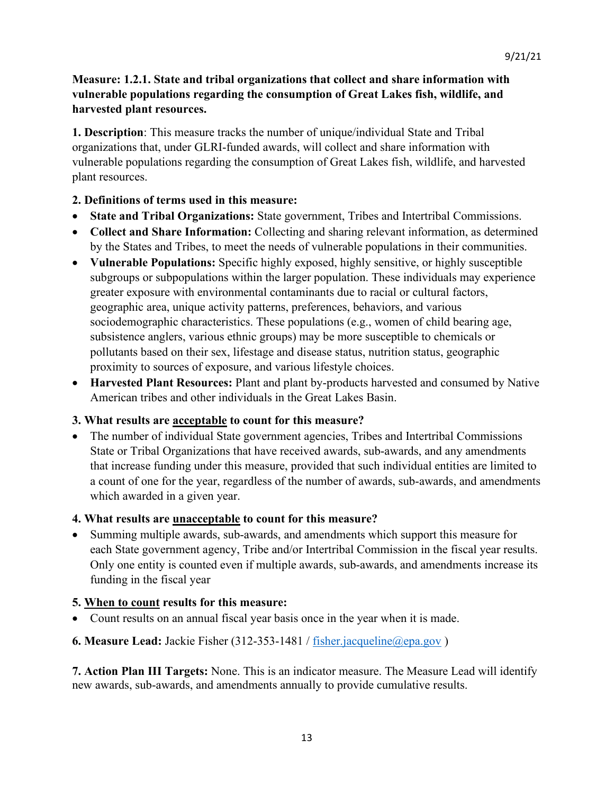# **Measure: 1.2.1. State and tribal organizations that collect and share information with vulnerable populations regarding the consumption of Great Lakes fish, wildlife, and harvested plant resources.**

**1. Description**: This measure tracks the number of unique/individual State and Tribal organizations that, under GLRI-funded awards, will collect and share information with vulnerable populations regarding the consumption of Great Lakes fish, wildlife, and harvested plant resources.

#### **2. Definitions of terms used in this measure:**

- **State and Tribal Organizations:** State government, Tribes and Intertribal Commissions.
- **Collect and Share Information:** Collecting and sharing relevant information, as determined by the States and Tribes, to meet the needs of vulnerable populations in their communities.
- **Vulnerable Populations:** Specific highly exposed, highly sensitive, or highly susceptible subgroups or subpopulations within the larger population. These individuals may experience greater exposure with environmental contaminants due to racial or cultural factors, geographic area, unique activity patterns, preferences, behaviors, and various sociodemographic characteristics. These populations (e.g., women of child bearing age, subsistence anglers, various ethnic groups) may be more susceptible to chemicals or pollutants based on their sex, lifestage and disease status, nutrition status, geographic proximity to sources of exposure, and various lifestyle choices.
- **Harvested Plant Resources:** Plant and plant by-products harvested and consumed by Native American tribes and other individuals in the Great Lakes Basin.

#### **3. What results are acceptable to count for this measure?**

• The number of individual State government agencies, Tribes and Intertribal Commissions State or Tribal Organizations that have received awards, sub-awards, and any amendments that increase funding under this measure, provided that such individual entities are limited to a count of one for the year, regardless of the number of awards, sub-awards, and amendments which awarded in a given year.

### **4. What results are unacceptable to count for this measure?**

• Summing multiple awards, sub-awards, and amendments which support this measure for each State government agency, Tribe and/or Intertribal Commission in the fiscal year results. Only one entity is counted even if multiple awards, sub-awards, and amendments increase its funding in the fiscal year

#### **5. When to count results for this measure:**

• Count results on an annual fiscal year basis once in the year when it is made.

### **6. Measure Lead:** Jackie Fisher (312-353-1481 / [fisher.jacqueline@epa.gov](mailto:fisher.jacqueline@epa.gov) )

**7. Action Plan III Targets:** None. This is an indicator measure. The Measure Lead will identify new awards, sub-awards, and amendments annually to provide cumulative results.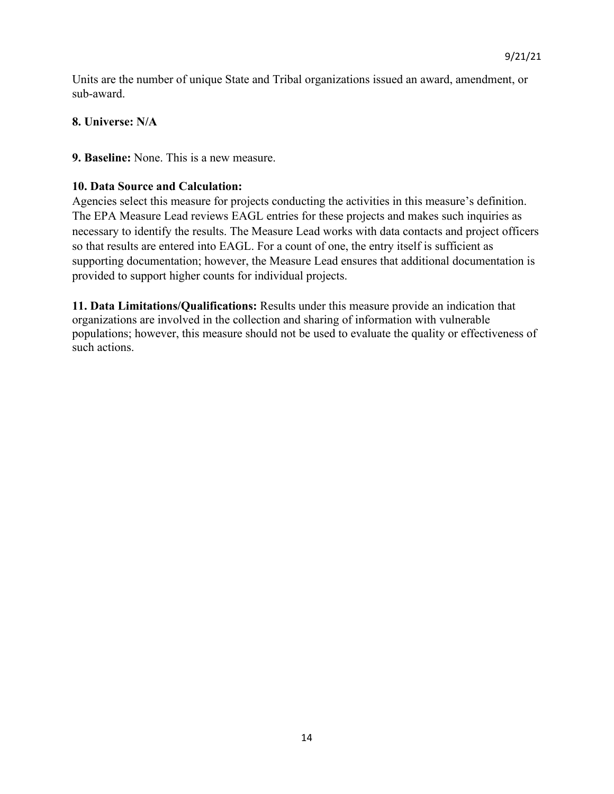Units are the number of unique State and Tribal organizations issued an award, amendment, or sub-award.

### **8. Universe: N/A**

**9. Baseline:** None. This is a new measure.

### **10. Data Source and Calculation:**

Agencies select this measure for projects conducting the activities in this measure's definition. The EPA Measure Lead reviews EAGL entries for these projects and makes such inquiries as necessary to identify the results. The Measure Lead works with data contacts and project officers so that results are entered into EAGL. For a count of one, the entry itself is sufficient as supporting documentation; however, the Measure Lead ensures that additional documentation is provided to support higher counts for individual projects.

**11. Data Limitations/Qualifications:** Results under this measure provide an indication that organizations are involved in the collection and sharing of information with vulnerable populations; however, this measure should not be used to evaluate the quality or effectiveness of such actions.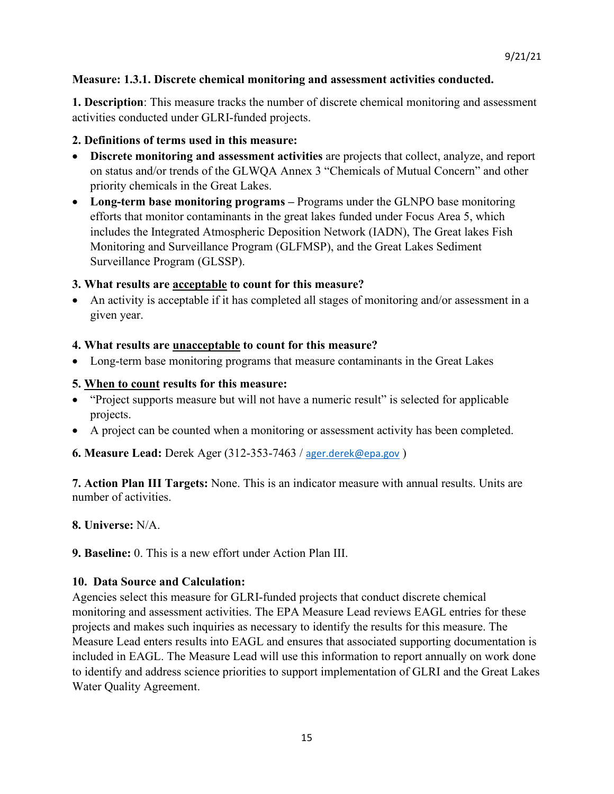### **Measure: 1.3.1. Discrete chemical monitoring and assessment activities conducted.**

**1. Description**: This measure tracks the number of discrete chemical monitoring and assessment activities conducted under GLRI-funded projects.

#### **2. Definitions of terms used in this measure:**

- **Discrete monitoring and assessment activities** are projects that collect, analyze, and report on status and/or trends of the GLWQA Annex 3 "Chemicals of Mutual Concern" and other priority chemicals in the Great Lakes.
- **Long-term base monitoring programs –** Programs under the GLNPO base monitoring efforts that monitor contaminants in the great lakes funded under Focus Area 5, which includes the Integrated Atmospheric Deposition Network (IADN), The Great lakes Fish Monitoring and Surveillance Program (GLFMSP), and the Great Lakes Sediment Surveillance Program (GLSSP).

### **3. What results are acceptable to count for this measure?**

• An activity is acceptable if it has completed all stages of monitoring and/or assessment in a given year.

#### **4. What results are unacceptable to count for this measure?**

• Long-term base monitoring programs that measure contaminants in the Great Lakes

#### **5. When to count results for this measure:**

- "Project supports measure but will not have a numeric result" is selected for applicable projects.
- A project can be counted when a monitoring or assessment activity has been completed.

**6. Measure Lead:** Derek Ager (312-353-7463 / [ager.derek@epa.gov](mailto:ager.derek@epa.gov) )

**7. Action Plan III Targets:** None. This is an indicator measure with annual results. Units are number of activities.

#### **8. Universe:** N/A.

**9. Baseline:** 0. This is a new effort under Action Plan III.

### **10. Data Source and Calculation:**

Agencies select this measure for GLRI-funded projects that conduct discrete chemical monitoring and assessment activities. The EPA Measure Lead reviews EAGL entries for these projects and makes such inquiries as necessary to identify the results for this measure. The Measure Lead enters results into EAGL and ensures that associated supporting documentation is included in EAGL. The Measure Lead will use this information to report annually on work done to identify and address science priorities to support implementation of GLRI and the Great Lakes Water Quality Agreement.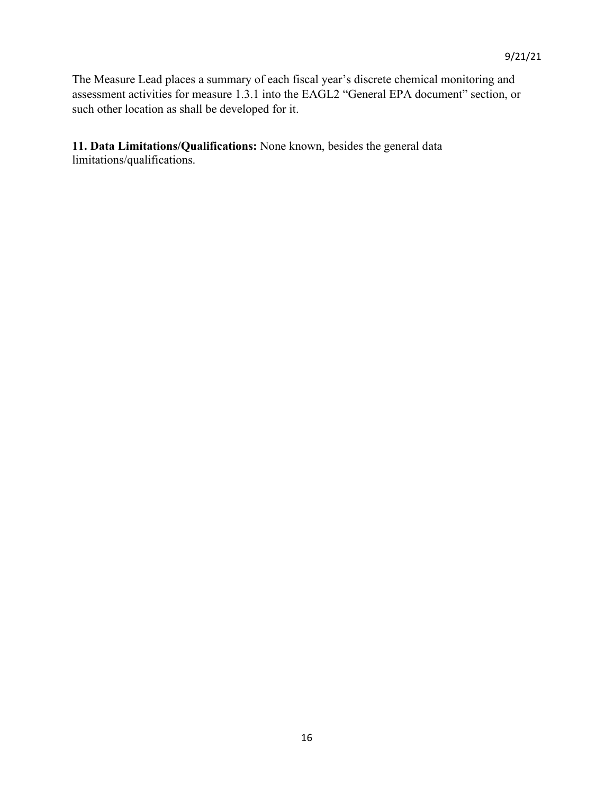The Measure Lead places a summary of each fiscal year's discrete chemical monitoring and assessment activities for measure 1.3.1 into the EAGL2 "General EPA document" section, or such other location as shall be developed for it.

**11. Data Limitations/Qualifications:** None known, besides the general data limitations/qualifications.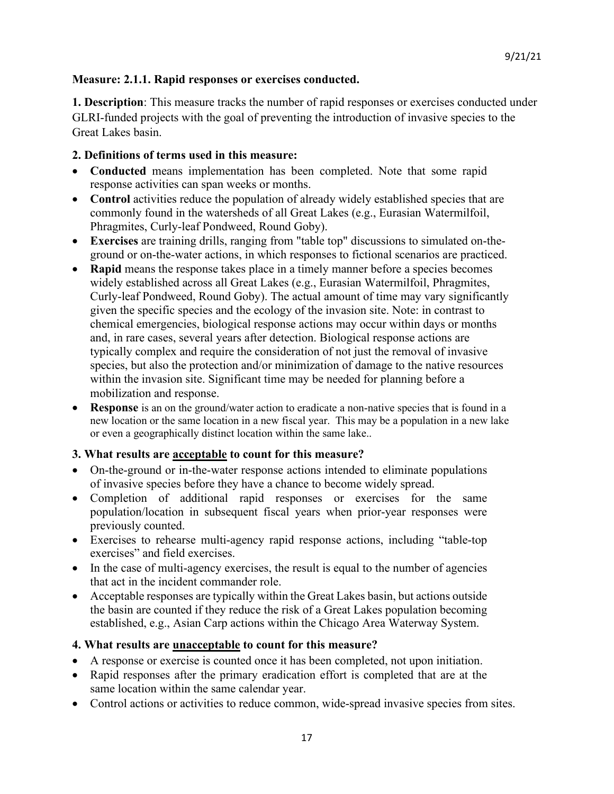#### **Measure: 2.1.1. Rapid responses or exercises conducted.**

**1. Description**: This measure tracks the number of rapid responses or exercises conducted under GLRI-funded projects with the goal of preventing the introduction of invasive species to the Great Lakes basin.

#### **2. Definitions of terms used in this measure:**

- **Conducted** means implementation has been completed. Note that some rapid response activities can span weeks or months.
- Control activities reduce the population of already widely established species that are commonly found in the watersheds of all Great Lakes (e.g., Eurasian Watermilfoil, Phragmites, Curly-leaf Pondweed, Round Goby).
- **Exercises** are training drills, ranging from "table top" discussions to simulated on-theground or on-the-water actions, in which responses to fictional scenarios are practiced.
- **Rapid** means the response takes place in a timely manner before a species becomes widely established across all Great Lakes (e.g., Eurasian Watermilfoil, Phragmites, Curly-leaf Pondweed, Round Goby). The actual amount of time may vary significantly given the specific species and the ecology of the invasion site. Note: in contrast to chemical emergencies, biological response actions may occur within days or months and, in rare cases, several years after detection. Biological response actions are typically complex and require the consideration of not just the removal of invasive species, but also the protection and/or minimization of damage to the native resources within the invasion site. Significant time may be needed for planning before a mobilization and response.
- **Response** is an on the ground/water action to eradicate a non-native species that is found in a new location or the same location in a new fiscal year. This may be a population in a new lake or even a geographically distinct location within the same lake..

### **3. What results are acceptable to count for this measure?**

- On-the-ground or in-the-water response actions intended to eliminate populations of invasive species before they have a chance to become widely spread.
- Completion of additional rapid responses or exercises for the same population/location in subsequent fiscal years when prior-year responses were previously counted.
- Exercises to rehearse multi-agency rapid response actions, including "table-top exercises" and field exercises.
- In the case of multi-agency exercises, the result is equal to the number of agencies that act in the incident commander role.
- Acceptable responses are typically within the Great Lakes basin, but actions outside the basin are counted if they reduce the risk of a Great Lakes population becoming established, e.g., Asian Carp actions within the Chicago Area Waterway System.

#### **4. What results are unacceptable to count for this measure?**

- A response or exercise is counted once it has been completed, not upon initiation.
- Rapid responses after the primary eradication effort is completed that are at the same location within the same calendar year.
- Control actions or activities to reduce common, wide-spread invasive species from sites.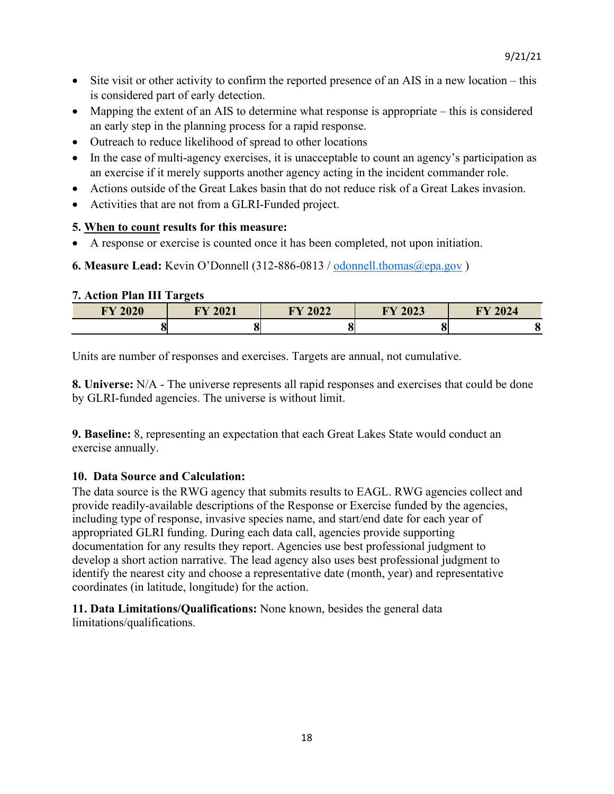- Site visit or other activity to confirm the reported presence of an AIS in a new location this is considered part of early detection.
- Mapping the extent of an AIS to determine what response is appropriate this is considered an early step in the planning process for a rapid response.
- Outreach to reduce likelihood of spread to other locations
- In the case of multi-agency exercises, it is unacceptable to count an agency's participation as an exercise if it merely supports another agency acting in the incident commander role.
- Actions outside of the Great Lakes basin that do not reduce risk of a Great Lakes invasion.
- Activities that are not from a GLRI-Funded project.

### **5. When to count results for this measure:**

- A response or exercise is counted once it has been completed, not upon initiation.
- **6. Measure Lead:** Kevin O'Donnell (312-886-0813 / [odonnell.thomas@epa.gov](mailto:odonnell.thomas@epa.gov) )

#### **7. Action Plan III Targets**

| <b>FY 2020</b> | <b>FY 2021</b> | <b>FY 2022</b> | FY 2023 | 2024<br><b>TIVZ</b> |
|----------------|----------------|----------------|---------|---------------------|
|                |                |                |         |                     |

Units are number of responses and exercises. Targets are annual, not cumulative.

**8. Universe:** N/A - The universe represents all rapid responses and exercises that could be done by GLRI-funded agencies. The universe is without limit.

**9. Baseline:** 8, representing an expectation that each Great Lakes State would conduct an exercise annually.

### **10. Data Source and Calculation:**

The data source is the RWG agency that submits results to EAGL. RWG agencies collect and provide readily-available descriptions of the Response or Exercise funded by the agencies, including type of response, invasive species name, and start/end date for each year of appropriated GLRI funding. During each data call, agencies provide supporting documentation for any results they report. Agencies use best professional judgment to develop a short action narrative. The lead agency also uses best professional judgment to identify the nearest city and choose a representative date (month, year) and representative coordinates (in latitude, longitude) for the action.

**11. Data Limitations/Qualifications:** None known, besides the general data limitations/qualifications.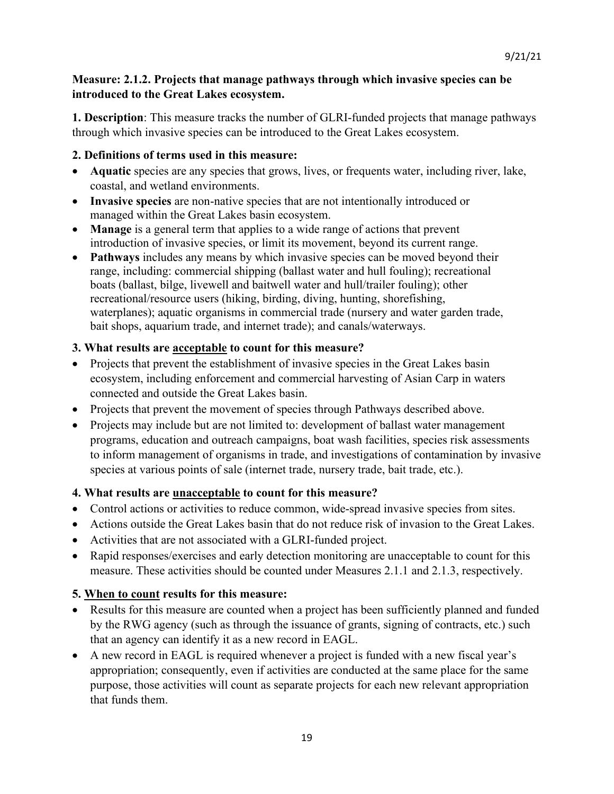# **Measure: 2.1.2. Projects that manage pathways through which invasive species can be introduced to the Great Lakes ecosystem.**

**1. Description**: This measure tracks the number of GLRI-funded projects that manage pathways through which invasive species can be introduced to the Great Lakes ecosystem.

# **2. Definitions of terms used in this measure:**

- **Aquatic** species are any species that grows, lives, or frequents water, including river, lake, coastal, and wetland environments.
- **Invasive species** are non-native species that are not intentionally introduced or managed within the Great Lakes basin ecosystem.
- **Manage** is a general term that applies to a wide range of actions that prevent introduction of invasive species, or limit its movement, beyond its current range.
- **Pathways** includes any means by which invasive species can be moved beyond their range, including: commercial shipping (ballast water and hull fouling); recreational boats (ballast, bilge, livewell and baitwell water and hull/trailer fouling); other recreational/resource users (hiking, birding, diving, hunting, shorefishing, waterplanes); aquatic organisms in commercial trade (nursery and water garden trade, bait shops, aquarium trade, and internet trade); and canals/waterways.

# **3. What results are acceptable to count for this measure?**

- Projects that prevent the establishment of invasive species in the Great Lakes basin ecosystem, including enforcement and commercial harvesting of Asian Carp in waters connected and outside the Great Lakes basin.
- Projects that prevent the movement of species through Pathways described above.
- Projects may include but are not limited to: development of ballast water management programs, education and outreach campaigns, boat wash facilities, species risk assessments to inform management of organisms in trade, and investigations of contamination by invasive species at various points of sale (internet trade, nursery trade, bait trade, etc.).

### **4. What results are unacceptable to count for this measure?**

- Control actions or activities to reduce common, wide-spread invasive species from sites.
- Actions outside the Great Lakes basin that do not reduce risk of invasion to the Great Lakes.
- Activities that are not associated with a GLRI-funded project.
- Rapid responses/exercises and early detection monitoring are unacceptable to count for this measure. These activities should be counted under Measures 2.1.1 and 2.1.3, respectively.

# **5. When to count results for this measure:**

- Results for this measure are counted when a project has been sufficiently planned and funded by the RWG agency (such as through the issuance of grants, signing of contracts, etc.) such that an agency can identify it as a new record in EAGL.
- A new record in EAGL is required whenever a project is funded with a new fiscal year's appropriation; consequently, even if activities are conducted at the same place for the same purpose, those activities will count as separate projects for each new relevant appropriation that funds them.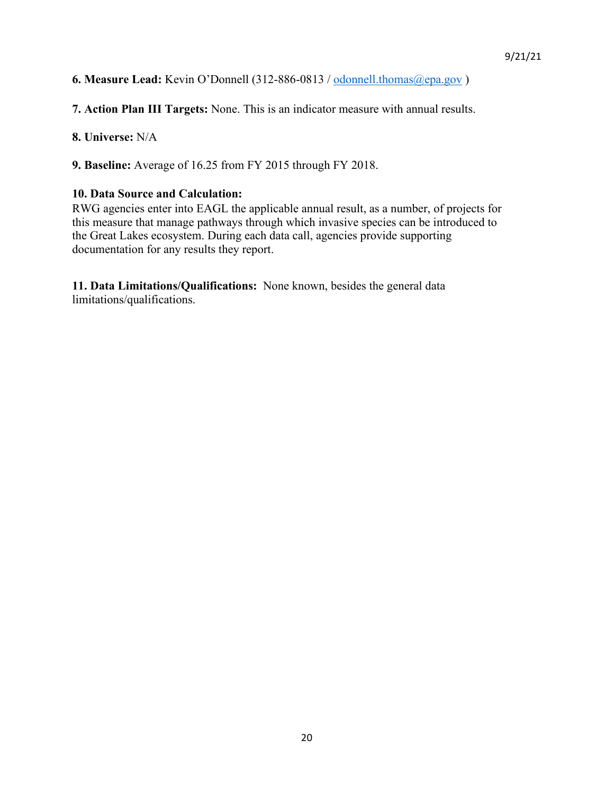**6. Measure Lead:** Kevin O'Donnell (312-886-0813 / [odonnell.thomas@epa.gov](mailto:odonnell.thomas@epa.gov) )

**7. Action Plan III Targets:** None. This is an indicator measure with annual results.

**8. Universe:** N/A

**9. Baseline:** Average of 16.25 from FY 2015 through FY 2018.

#### **10. Data Source and Calculation:**

RWG agencies enter into EAGL the applicable annual result, as a number, of projects for this measure that manage pathways through which invasive species can be introduced to the Great Lakes ecosystem. During each data call, agencies provide supporting documentation for any results they report.

**11. Data Limitations/Qualifications:** None known, besides the general data limitations/qualifications.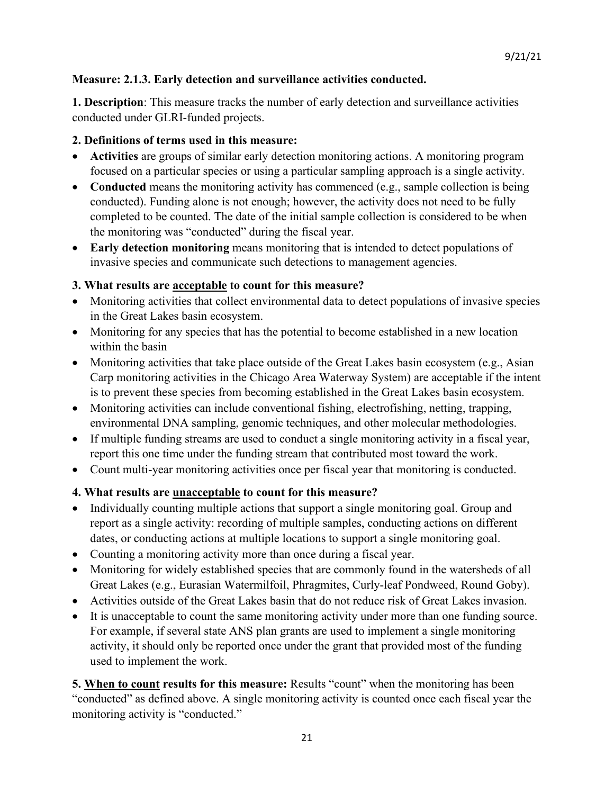# **Measure: 2.1.3. Early detection and surveillance activities conducted.**

**1. Description**: This measure tracks the number of early detection and surveillance activities conducted under GLRI-funded projects.

# **2. Definitions of terms used in this measure:**

- **Activities** are groups of similar early detection monitoring actions. A monitoring program focused on a particular species or using a particular sampling approach is a single activity.
- **Conducted** means the monitoring activity has commenced (e.g., sample collection is being conducted). Funding alone is not enough; however, the activity does not need to be fully completed to be counted. The date of the initial sample collection is considered to be when the monitoring was "conducted" during the fiscal year.
- **Early detection monitoring** means monitoring that is intended to detect populations of invasive species and communicate such detections to management agencies.

# **3. What results are acceptable to count for this measure?**

- Monitoring activities that collect environmental data to detect populations of invasive species in the Great Lakes basin ecosystem.
- Monitoring for any species that has the potential to become established in a new location within the basin
- Monitoring activities that take place outside of the Great Lakes basin ecosystem (e.g., Asian Carp monitoring activities in the Chicago Area Waterway System) are acceptable if the intent is to prevent these species from becoming established in the Great Lakes basin ecosystem.
- Monitoring activities can include conventional fishing, electrofishing, netting, trapping, environmental DNA sampling, genomic techniques, and other molecular methodologies.
- If multiple funding streams are used to conduct a single monitoring activity in a fiscal year, report this one time under the funding stream that contributed most toward the work.
- Count multi-year monitoring activities once per fiscal year that monitoring is conducted.

# **4. What results are unacceptable to count for this measure?**

- Individually counting multiple actions that support a single monitoring goal. Group and report as a single activity: recording of multiple samples, conducting actions on different dates, or conducting actions at multiple locations to support a single monitoring goal.
- Counting a monitoring activity more than once during a fiscal year.
- Monitoring for widely established species that are commonly found in the watersheds of all Great Lakes (e.g., Eurasian Watermilfoil, Phragmites, Curly-leaf Pondweed, Round Goby).
- Activities outside of the Great Lakes basin that do not reduce risk of Great Lakes invasion.
- It is unacceptable to count the same monitoring activity under more than one funding source. For example, if several state ANS plan grants are used to implement a single monitoring activity, it should only be reported once under the grant that provided most of the funding used to implement the work.

**5. When to count results for this measure:** Results "count" when the monitoring has been "conducted" as defined above. A single monitoring activity is counted once each fiscal year the monitoring activity is "conducted."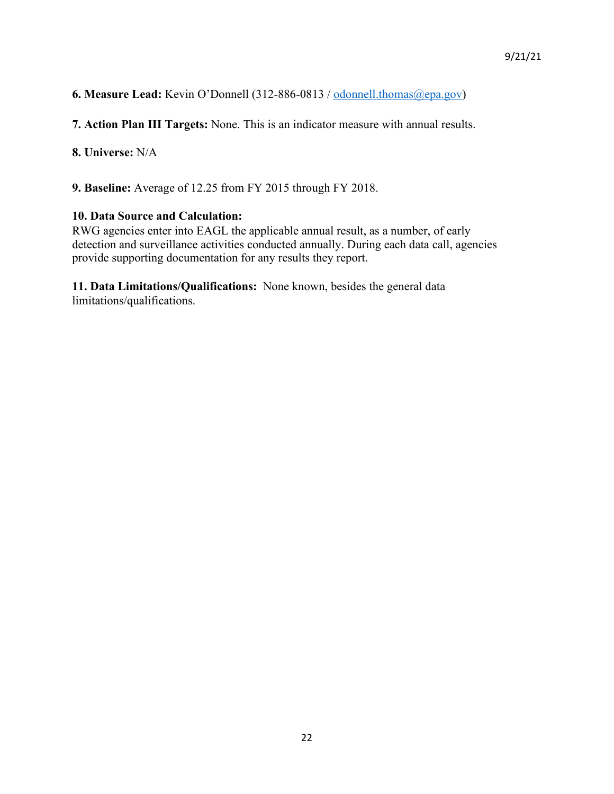**6. Measure Lead:** Kevin O'Donnell (312-886-0813 / [odonnell.thomas@epa.gov\)](mailto:odonnell.thomas@epa.gov)

**7. Action Plan III Targets:** None. This is an indicator measure with annual results.

**8. Universe:** N/A

**9. Baseline:** Average of 12.25 from FY 2015 through FY 2018.

#### **10. Data Source and Calculation:**

RWG agencies enter into EAGL the applicable annual result, as a number, of early detection and surveillance activities conducted annually. During each data call, agencies provide supporting documentation for any results they report.

**11. Data Limitations/Qualifications:** None known, besides the general data limitations/qualifications.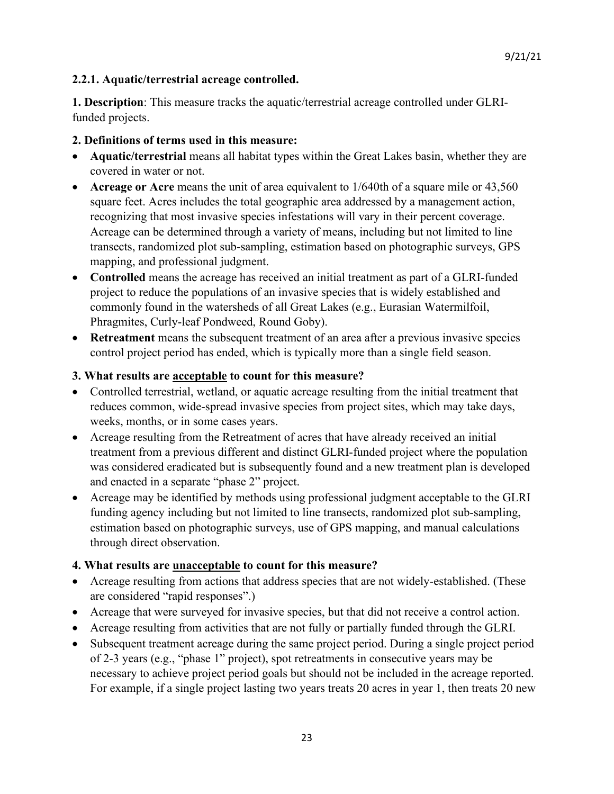# **2.2.1. Aquatic/terrestrial acreage controlled.**

**1. Description**: This measure tracks the aquatic/terrestrial acreage controlled under GLRIfunded projects.

# **2. Definitions of terms used in this measure:**

- **Aquatic/terrestrial** means all habitat types within the Great Lakes basin, whether they are covered in water or not.
- **Acreage or Acre** means the unit of area equivalent to 1/640th of a square mile or 43,560 square feet. Acres includes the total geographic area addressed by a management action, recognizing that most invasive species infestations will vary in their percent coverage. Acreage can be determined through a variety of means, including but not limited to line transects, randomized plot sub-sampling, estimation based on photographic surveys, GPS mapping, and professional judgment.
- **Controlled** means the acreage has received an initial treatment as part of a GLRI-funded project to reduce the populations of an invasive species that is widely established and commonly found in the watersheds of all Great Lakes (e.g., Eurasian Watermilfoil, Phragmites, Curly-leaf Pondweed, Round Goby).
- **Retreatment** means the subsequent treatment of an area after a previous invasive species control project period has ended, which is typically more than a single field season.

# **3. What results are acceptable to count for this measure?**

- Controlled terrestrial, wetland, or aquatic acreage resulting from the initial treatment that reduces common, wide-spread invasive species from project sites, which may take days, weeks, months, or in some cases years.
- Acreage resulting from the Retreatment of acres that have already received an initial treatment from a previous different and distinct GLRI-funded project where the population was considered eradicated but is subsequently found and a new treatment plan is developed and enacted in a separate "phase 2" project.
- Acreage may be identified by methods using professional judgment acceptable to the GLRI funding agency including but not limited to line transects, randomized plot sub-sampling, estimation based on photographic surveys, use of GPS mapping, and manual calculations through direct observation.

# **4. What results are unacceptable to count for this measure?**

- Acreage resulting from actions that address species that are not widely-established. (These are considered "rapid responses".)
- Acreage that were surveyed for invasive species, but that did not receive a control action.
- Acreage resulting from activities that are not fully or partially funded through the GLRI.
- Subsequent treatment acreage during the same project period. During a single project period of 2-3 years (e.g., "phase 1" project), spot retreatments in consecutive years may be necessary to achieve project period goals but should not be included in the acreage reported. For example, if a single project lasting two years treats 20 acres in year 1, then treats 20 new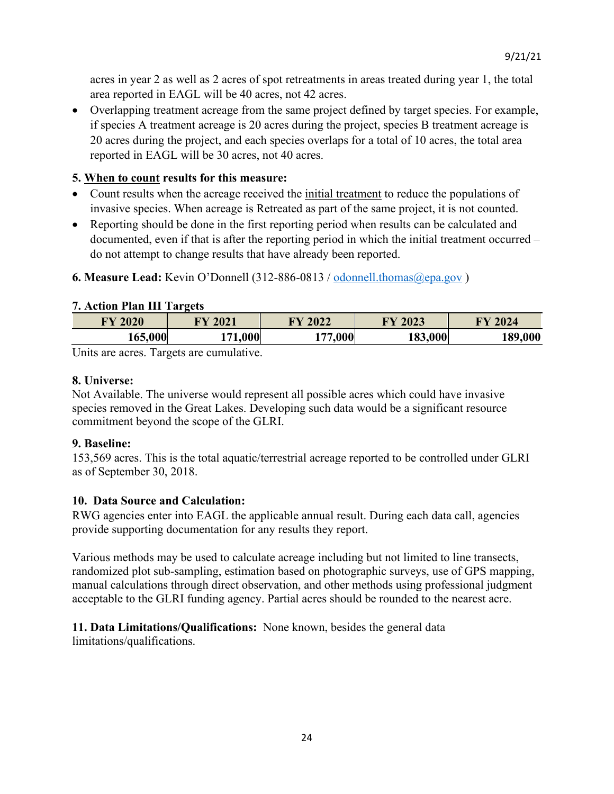acres in year 2 as well as 2 acres of spot retreatments in areas treated during year 1, the total area reported in EAGL will be 40 acres, not 42 acres.

• Overlapping treatment acreage from the same project defined by target species. For example, if species A treatment acreage is 20 acres during the project, species B treatment acreage is 20 acres during the project, and each species overlaps for a total of 10 acres, the total area reported in EAGL will be 30 acres, not 40 acres.

# **5. When to count results for this measure:**

- Count results when the acreage received the *initial treatment* to reduce the populations of invasive species. When acreage is Retreated as part of the same project, it is not counted.
- Reporting should be done in the first reporting period when results can be calculated and documented, even if that is after the reporting period in which the initial treatment occurred – do not attempt to change results that have already been reported.

# **6. Measure Lead:** Kevin O'Donnell (312-886-0813 / [odonnell.thomas@epa.gov](mailto:odonnell.thomas@epa.gov) )

# **7. Action Plan III Targets**

| <b>FY 2020</b> | 2021<br>DV. | 2022<br>$\blacksquare$ | 2023<br><b>TV</b> | 2024    |
|----------------|-------------|------------------------|-------------------|---------|
| <b>.65 000</b> | nnn         | <u>, 77 AAC </u>       | 183,000           | 189,000 |

Units are acres. Targets are cumulative.

# **8. Universe:**

Not Available. The universe would represent all possible acres which could have invasive species removed in the Great Lakes. Developing such data would be a significant resource commitment beyond the scope of the GLRI.

### **9. Baseline:**

153,569 acres. This is the total aquatic/terrestrial acreage reported to be controlled under GLRI as of September 30, 2018.

# **10. Data Source and Calculation:**

RWG agencies enter into EAGL the applicable annual result. During each data call, agencies provide supporting documentation for any results they report.

Various methods may be used to calculate acreage including but not limited to line transects, randomized plot sub-sampling, estimation based on photographic surveys, use of GPS mapping, manual calculations through direct observation, and other methods using professional judgment acceptable to the GLRI funding agency. Partial acres should be rounded to the nearest acre.

# **11. Data Limitations/Qualifications:** None known, besides the general data

limitations/qualifications.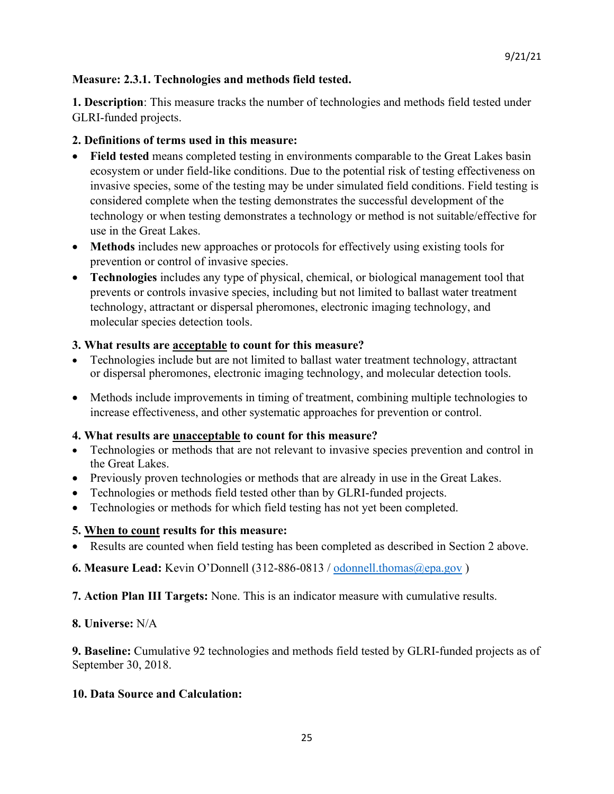# **Measure: 2.3.1. Technologies and methods field tested.**

**1. Description**: This measure tracks the number of technologies and methods field tested under GLRI-funded projects.

# **2. Definitions of terms used in this measure:**

- **Field tested** means completed testing in environments comparable to the Great Lakes basin ecosystem or under field-like conditions. Due to the potential risk of testing effectiveness on invasive species, some of the testing may be under simulated field conditions. Field testing is considered complete when the testing demonstrates the successful development of the technology or when testing demonstrates a technology or method is not suitable/effective for use in the Great Lakes.
- **Methods** includes new approaches or protocols for effectively using existing tools for prevention or control of invasive species.
- **Technologies** includes any type of physical, chemical, or biological management tool that prevents or controls invasive species, including but not limited to ballast water treatment technology, attractant or dispersal pheromones, electronic imaging technology, and molecular species detection tools.

# **3. What results are acceptable to count for this measure?**

- Technologies include but are not limited to ballast water treatment technology, attractant or dispersal pheromones, electronic imaging technology, and molecular detection tools.
- Methods include improvements in timing of treatment, combining multiple technologies to increase effectiveness, and other systematic approaches for prevention or control.

# **4. What results are unacceptable to count for this measure?**

- Technologies or methods that are not relevant to invasive species prevention and control in the Great Lakes.
- Previously proven technologies or methods that are already in use in the Great Lakes.
- Technologies or methods field tested other than by GLRI-funded projects.
- Technologies or methods for which field testing has not yet been completed.

### **5. When to count results for this measure:**

• Results are counted when field testing has been completed as described in Section 2 above.

# **6. Measure Lead:** Kevin O'Donnell (312-886-0813 / [odonnell.thomas@epa.gov](mailto:odonnell.thomas@epa.gov) )

**7. Action Plan III Targets:** None. This is an indicator measure with cumulative results.

### **8. Universe:** N/A

**9. Baseline:** Cumulative 92 technologies and methods field tested by GLRI-funded projects as of September 30, 2018.

### **10. Data Source and Calculation:**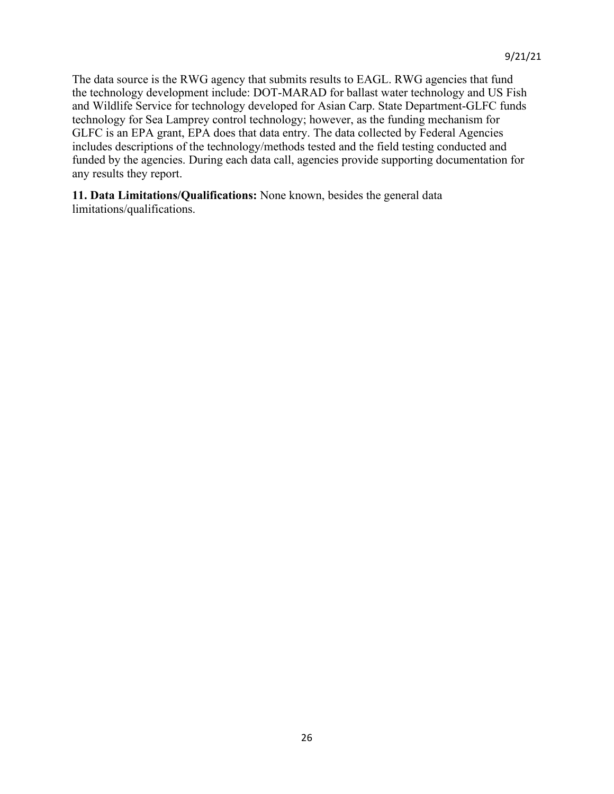The data source is the RWG agency that submits results to EAGL. RWG agencies that fund the technology development include: DOT-MARAD for ballast water technology and US Fish and Wildlife Service for technology developed for Asian Carp. State Department-GLFC funds technology for Sea Lamprey control technology; however, as the funding mechanism for GLFC is an EPA grant, EPA does that data entry. The data collected by Federal Agencies includes descriptions of the technology/methods tested and the field testing conducted and funded by the agencies. During each data call, agencies provide supporting documentation for any results they report.

**11. Data Limitations/Qualifications:** None known, besides the general data limitations/qualifications.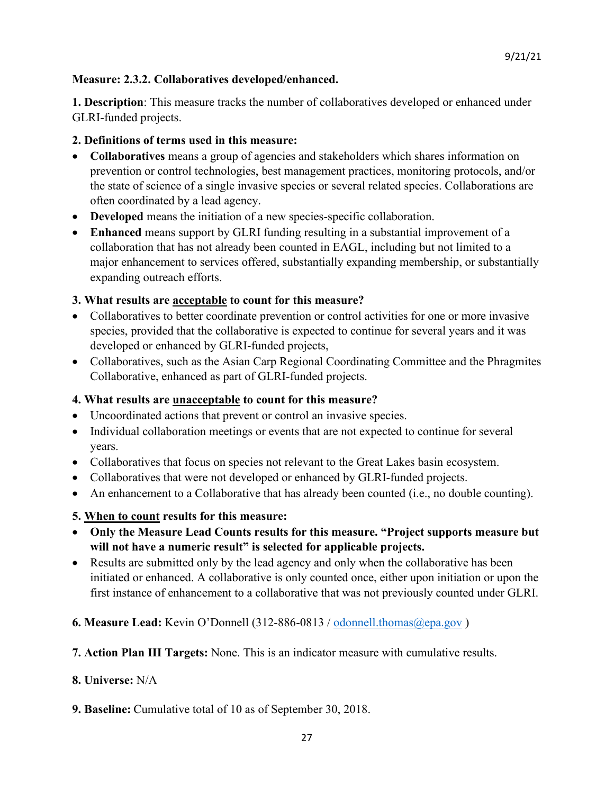# **Measure: 2.3.2. Collaboratives developed/enhanced.**

**1. Description**: This measure tracks the number of collaboratives developed or enhanced under GLRI-funded projects.

# **2. Definitions of terms used in this measure:**

- **Collaboratives** means a group of agencies and stakeholders which shares information on prevention or control technologies, best management practices, monitoring protocols, and/or the state of science of a single invasive species or several related species. Collaborations are often coordinated by a lead agency.
- **Developed** means the initiation of a new species-specific collaboration.
- **Enhanced** means support by GLRI funding resulting in a substantial improvement of a collaboration that has not already been counted in EAGL, including but not limited to a major enhancement to services offered, substantially expanding membership, or substantially expanding outreach efforts.

# **3. What results are acceptable to count for this measure?**

- Collaboratives to better coordinate prevention or control activities for one or more invasive species, provided that the collaborative is expected to continue for several years and it was developed or enhanced by GLRI-funded projects,
- Collaboratives, such as the Asian Carp Regional Coordinating Committee and the Phragmites Collaborative, enhanced as part of GLRI-funded projects.

# **4. What results are unacceptable to count for this measure?**

- Uncoordinated actions that prevent or control an invasive species.
- Individual collaboration meetings or events that are not expected to continue for several years.
- Collaboratives that focus on species not relevant to the Great Lakes basin ecosystem.
- Collaboratives that were not developed or enhanced by GLRI-funded projects.
- An enhancement to a Collaborative that has already been counted (i.e., no double counting).

# **5. When to count results for this measure:**

- **Only the Measure Lead Counts results for this measure. "Project supports measure but will not have a numeric result" is selected for applicable projects.**
- Results are submitted only by the lead agency and only when the collaborative has been initiated or enhanced. A collaborative is only counted once, either upon initiation or upon the first instance of enhancement to a collaborative that was not previously counted under GLRI.
- **6. Measure Lead:** Kevin O'Donnell (312-886-0813 / [odonnell.thomas@epa.gov](mailto:odonnell.thomas@epa.gov) )
- **7. Action Plan III Targets:** None. This is an indicator measure with cumulative results.

### **8. Universe:** N/A

**9. Baseline:** Cumulative total of 10 as of September 30, 2018.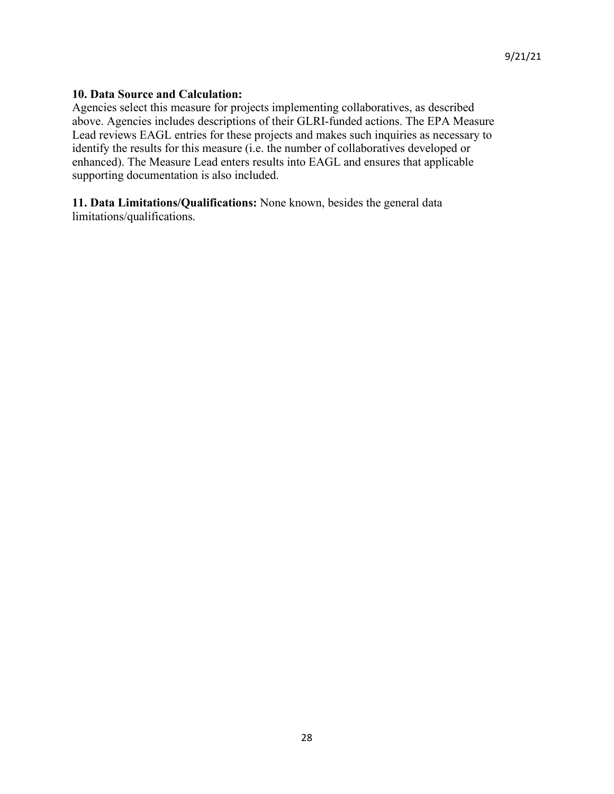#### **10. Data Source and Calculation:**

Agencies select this measure for projects implementing collaboratives, as described above. Agencies includes descriptions of their GLRI-funded actions. The EPA Measure Lead reviews EAGL entries for these projects and makes such inquiries as necessary to identify the results for this measure (i.e. the number of collaboratives developed or enhanced). The Measure Lead enters results into EAGL and ensures that applicable supporting documentation is also included.

**11. Data Limitations/Qualifications:** None known, besides the general data limitations/qualifications.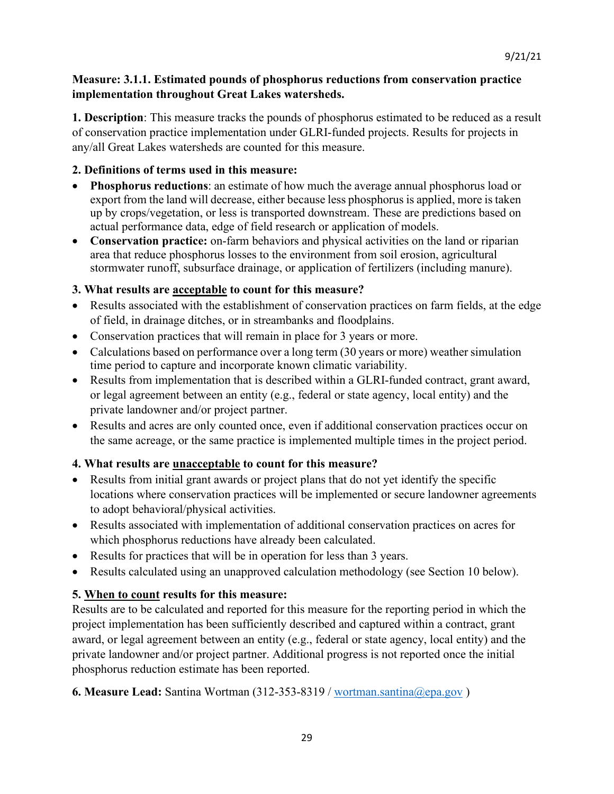# **Measure: 3.1.1. Estimated pounds of phosphorus reductions from conservation practice implementation throughout Great Lakes watersheds.**

**1. Description**: This measure tracks the pounds of phosphorus estimated to be reduced as a result of conservation practice implementation under GLRI-funded projects. Results for projects in any/all Great Lakes watersheds are counted for this measure.

# **2. Definitions of terms used in this measure:**

- **Phosphorus reductions**: an estimate of how much the average annual phosphorus load or export from the land will decrease, either because less phosphorus is applied, more is taken up by crops/vegetation, or less is transported downstream. These are predictions based on actual performance data, edge of field research or application of models.
- **Conservation practice:** on-farm behaviors and physical activities on the land or riparian area that reduce phosphorus losses to the environment from soil erosion, agricultural stormwater runoff, subsurface drainage, or application of fertilizers (including manure).

# **3. What results are acceptable to count for this measure?**

- Results associated with the establishment of conservation practices on farm fields, at the edge of field, in drainage ditches, or in streambanks and floodplains.
- Conservation practices that will remain in place for 3 years or more.
- Calculations based on performance over a long term (30 years or more) weather simulation time period to capture and incorporate known climatic variability.
- Results from implementation that is described within a GLRI-funded contract, grant award, or legal agreement between an entity (e.g., federal or state agency, local entity) and the private landowner and/or project partner.
- Results and acres are only counted once, even if additional conservation practices occur on the same acreage, or the same practice is implemented multiple times in the project period.

# **4. What results are unacceptable to count for this measure?**

- Results from initial grant awards or project plans that do not yet identify the specific locations where conservation practices will be implemented or secure landowner agreements to adopt behavioral/physical activities.
- Results associated with implementation of additional conservation practices on acres for which phosphorus reductions have already been calculated.
- Results for practices that will be in operation for less than 3 years.
- Results calculated using an unapproved calculation methodology (see Section 10 below).

# **5. When to count results for this measure:**

Results are to be calculated and reported for this measure for the reporting period in which the project implementation has been sufficiently described and captured within a contract, grant award, or legal agreement between an entity (e.g., federal or state agency, local entity) and the private landowner and/or project partner. Additional progress is not reported once the initial phosphorus reduction estimate has been reported.

**6. Measure Lead:** Santina Wortman (312-353-8319 / [wortman.santina@epa.gov](mailto:wortman.santina@epa.gov) )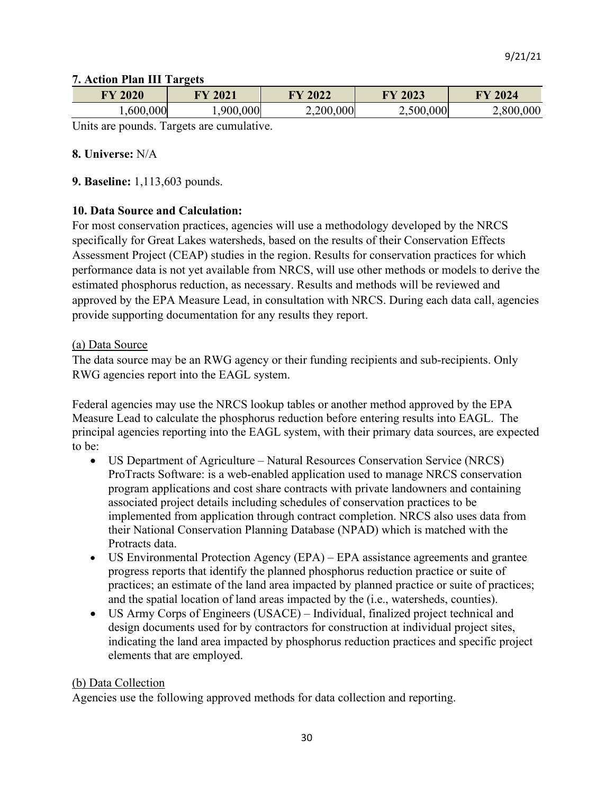#### **7. Action Plan III Targets**

| 2020<br>${\bf F}{\bf Y}$                    | 2021<br>$\mathbf{F}\mathbf{V}$ | 2022      | 2023<br>$\mathbf{F}\mathbf{V}$ | 2024      |
|---------------------------------------------|--------------------------------|-----------|--------------------------------|-----------|
| 000<br>-600                                 | 900,000                        | 2,200,000 | 2,500,000                      | 2,800,000 |
| TTU taun diaranjarahan diar<br>$\mathbf{r}$ |                                |           |                                |           |

Units are pounds. Targets are cumulative.

#### **8. Universe:** N/A

**9. Baseline:** 1,113,603 pounds.

#### **10. Data Source and Calculation:**

For most conservation practices, agencies will use a methodology developed by the NRCS specifically for Great Lakes watersheds, based on the results of their Conservation Effects Assessment Project (CEAP) studies in the region. Results for conservation practices for which performance data is not yet available from NRCS, will use other methods or models to derive the estimated phosphorus reduction, as necessary. Results and methods will be reviewed and approved by the EPA Measure Lead, in consultation with NRCS. During each data call, agencies provide supporting documentation for any results they report.

#### (a) Data Source

The data source may be an RWG agency or their funding recipients and sub-recipients. Only RWG agencies report into the EAGL system.

Federal agencies may use the NRCS lookup tables or another method approved by the EPA Measure Lead to calculate the phosphorus reduction before entering results into EAGL. The principal agencies reporting into the EAGL system, with their primary data sources, are expected to be:

- US Department of Agriculture Natural Resources Conservation Service (NRCS) ProTracts Software: is a web-enabled application used to manage NRCS conservation program applications and cost share contracts with private landowners and containing associated project details including schedules of conservation practices to be implemented from application through contract completion. NRCS also uses data from their National Conservation Planning Database (NPAD) which is matched with the Protracts data.
- US Environmental Protection Agency (EPA) EPA assistance agreements and grantee progress reports that identify the planned phosphorus reduction practice or suite of practices; an estimate of the land area impacted by planned practice or suite of practices; and the spatial location of land areas impacted by the (i.e., watersheds, counties).
- US Army Corps of Engineers (USACE) Individual, finalized project technical and design documents used for by contractors for construction at individual project sites, indicating the land area impacted by phosphorus reduction practices and specific project elements that are employed.

#### (b) Data Collection

Agencies use the following approved methods for data collection and reporting.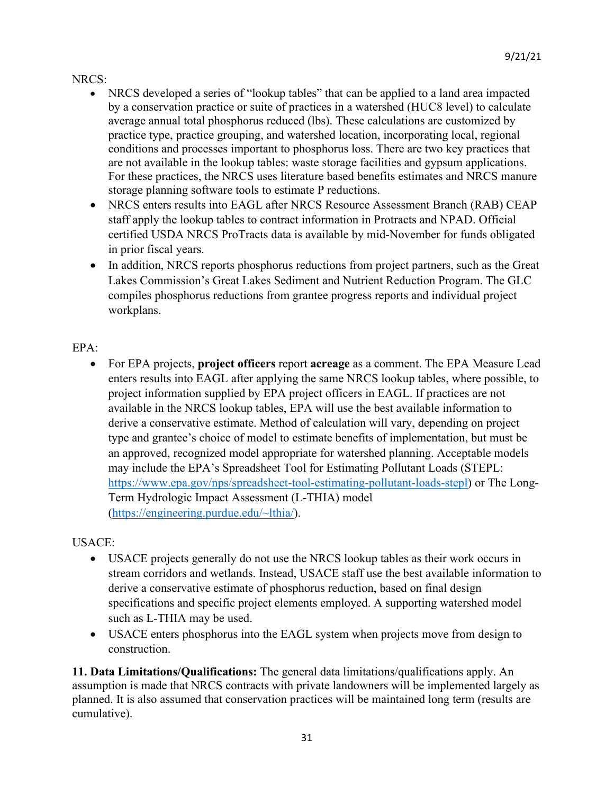# NRCS:

- NRCS developed a series of "lookup tables" that can be applied to a land area impacted by a conservation practice or suite of practices in a watershed (HUC8 level) to calculate average annual total phosphorus reduced (lbs). These calculations are customized by practice type, practice grouping, and watershed location, incorporating local, regional conditions and processes important to phosphorus loss. There are two key practices that are not available in the lookup tables: waste storage facilities and gypsum applications. For these practices, the NRCS uses literature based benefits estimates and NRCS manure storage planning software tools to estimate P reductions.
- NRCS enters results into EAGL after NRCS Resource Assessment Branch (RAB) CEAP staff apply the lookup tables to contract information in Protracts and NPAD. Official certified USDA NRCS ProTracts data is available by mid-November for funds obligated in prior fiscal years.
- In addition, NRCS reports phosphorus reductions from project partners, such as the Great Lakes Commission's Great Lakes Sediment and Nutrient Reduction Program. The GLC compiles phosphorus reductions from grantee progress reports and individual project workplans.

# EPA:

• For EPA projects, **project officers** report **acreage** as a comment. The EPA Measure Lead enters results into EAGL after applying the same NRCS lookup tables, where possible, to project information supplied by EPA project officers in EAGL. If practices are not available in the NRCS lookup tables, EPA will use the best available information to derive a conservative estimate. Method of calculation will vary, depending on project type and grantee's choice of model to estimate benefits of implementation, but must be an approved, recognized model appropriate for watershed planning. Acceptable models may include the EPA's Spreadsheet Tool for Estimating Pollutant Loads (STEPL: [https://www.epa.gov/nps/spreadsheet-tool-estimating-pollutant-loads-stepl\)](https://www.epa.gov/nps/spreadsheet-tool-estimating-pollutant-loads-stepl) or The Long-Term Hydrologic Impact Assessment (L-THIA) model [\(https://engineering.purdue.edu/~lthia/\)](https://engineering.purdue.edu/%7Elthia/).

# USACE:

- USACE projects generally do not use the NRCS lookup tables as their work occurs in stream corridors and wetlands. Instead, USACE staff use the best available information to derive a conservative estimate of phosphorus reduction, based on final design specifications and specific project elements employed. A supporting watershed model such as L-THIA may be used.
- USACE enters phosphorus into the EAGL system when projects move from design to construction.

**11. Data Limitations/Qualifications:** The general data limitations/qualifications apply. An assumption is made that NRCS contracts with private landowners will be implemented largely as planned. It is also assumed that conservation practices will be maintained long term (results are cumulative).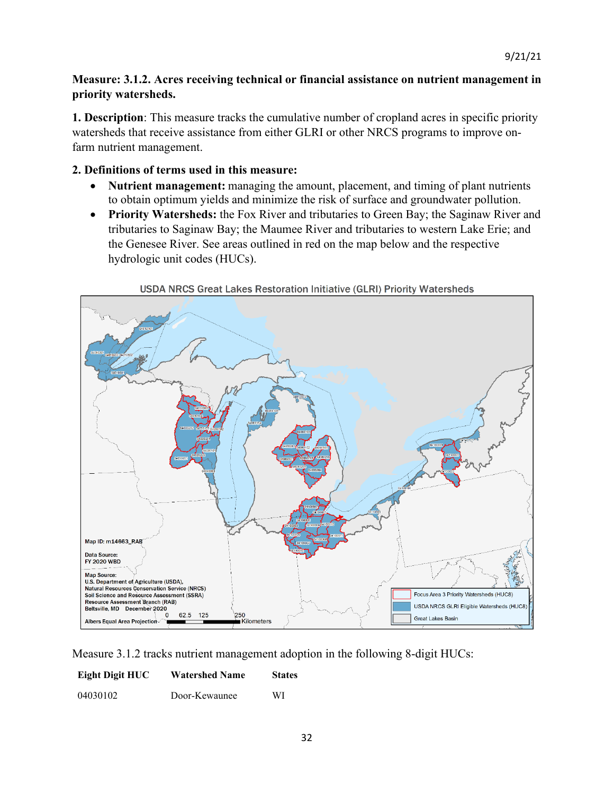# **Measure: 3.1.2. Acres receiving technical or financial assistance on nutrient management in priority watersheds.**

**1. Description**: This measure tracks the cumulative number of cropland acres in specific priority watersheds that receive assistance from either GLRI or other NRCS programs to improve onfarm nutrient management.

### **2. Definitions of terms used in this measure:**

- **Nutrient management:** managing the amount, placement, and timing of plant nutrients to obtain optimum yields and minimize the risk of surface and groundwater pollution.
- **Priority Watersheds:** the Fox River and tributaries to Green Bay; the Saginaw River and tributaries to Saginaw Bay; the Maumee River and tributaries to western Lake Erie; and the Genesee River. See areas outlined in red on the map below and the respective hydrologic unit codes (HUCs).





Measure 3.1.2 tracks nutrient management adoption in the following 8-digit HUCs:

| Eight Digit HUC | <b>Watershed Name</b> | <b>States</b> |
|-----------------|-----------------------|---------------|
| 04030102        | Door-Kewaunee         | WI            |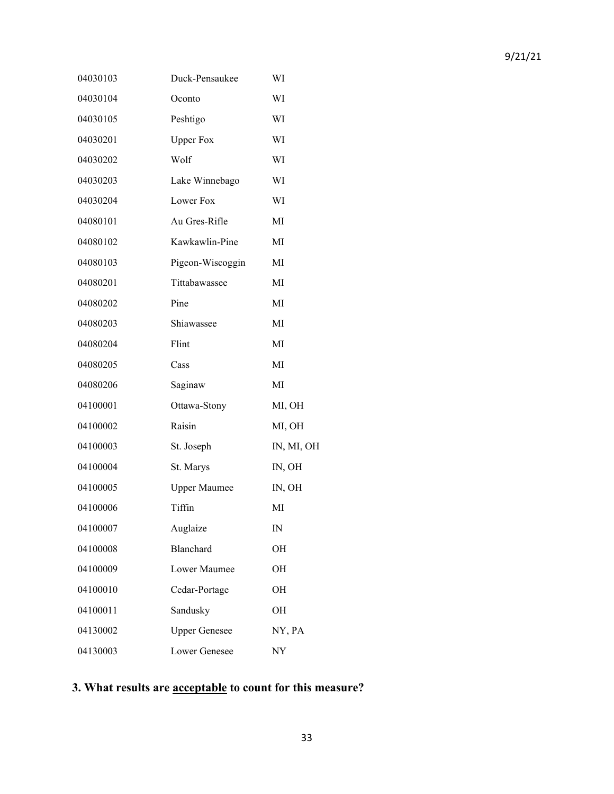| 04030103 | Duck-Pensaukee       | WI         |
|----------|----------------------|------------|
| 04030104 | Oconto               | WI         |
| 04030105 | Peshtigo             | WI         |
| 04030201 | <b>Upper Fox</b>     | WI         |
| 04030202 | Wolf                 | WI         |
| 04030203 | Lake Winnebago       | WI         |
| 04030204 | Lower Fox            | WI         |
| 04080101 | Au Gres-Rifle        | МI         |
| 04080102 | Kawkawlin-Pine       | МI         |
| 04080103 | Pigeon-Wiscoggin     | МI         |
| 04080201 | Tittabawassee        | МI         |
| 04080202 | Pine                 | МI         |
| 04080203 | Shiawassee           | МI         |
| 04080204 | Flint                | MI         |
| 04080205 | Cass                 | МI         |
| 04080206 | Saginaw              | MI         |
| 04100001 | Ottawa-Stony         | MI, OH     |
| 04100002 | Raisin               | MI, OH     |
| 04100003 | St. Joseph           | IN, MI, OH |
| 04100004 | St. Marys            | IN, OH     |
| 04100005 | <b>Upper Maumee</b>  | IN, OH     |
| 04100006 | Tiffin               | МI         |
| 04100007 | Auglaize             | IN         |
| 04100008 | Blanchard            | OН         |
| 04100009 | Lower Maumee         | OН         |
| 04100010 | Cedar-Portage        | OН         |
| 04100011 | Sandusky             | OН         |
| 04130002 | <b>Upper Genesee</b> | NY, PA     |
| 04130003 | Lower Genesee        | NY         |

# **3. What results are acceptable to count for this measure?**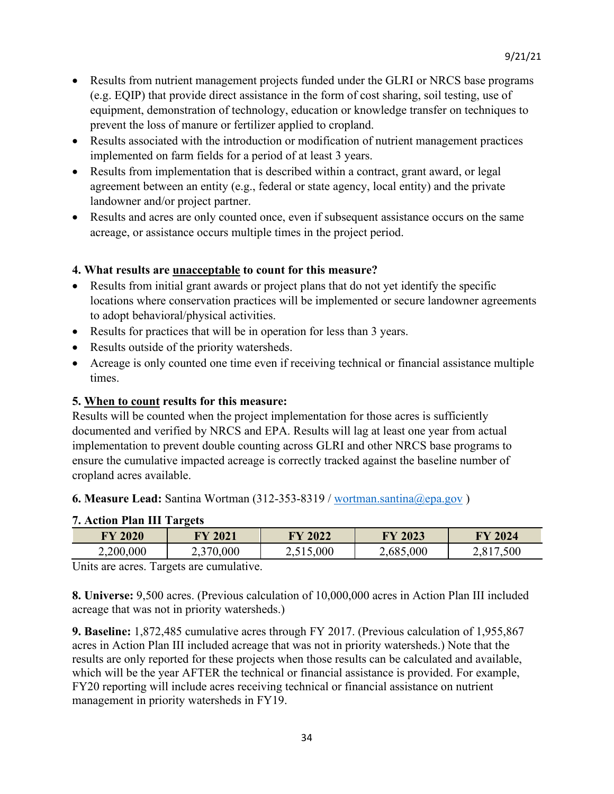- Results from nutrient management projects funded under the GLRI or NRCS base programs (e.g. EQIP) that provide direct assistance in the form of cost sharing, soil testing, use of equipment, demonstration of technology, education or knowledge transfer on techniques to prevent the loss of manure or fertilizer applied to cropland.
- Results associated with the introduction or modification of nutrient management practices implemented on farm fields for a period of at least 3 years.
- Results from implementation that is described within a contract, grant award, or legal agreement between an entity (e.g., federal or state agency, local entity) and the private landowner and/or project partner.
- Results and acres are only counted once, even if subsequent assistance occurs on the same acreage, or assistance occurs multiple times in the project period.

# **4. What results are unacceptable to count for this measure?**

- Results from initial grant awards or project plans that do not yet identify the specific locations where conservation practices will be implemented or secure landowner agreements to adopt behavioral/physical activities.
- Results for practices that will be in operation for less than 3 years.
- Results outside of the priority watersheds.
- Acreage is only counted one time even if receiving technical or financial assistance multiple times.

# **5. When to count results for this measure:**

Results will be counted when the project implementation for those acres is sufficiently documented and verified by NRCS and EPA. Results will lag at least one year from actual implementation to prevent double counting across GLRI and other NRCS base programs to ensure the cumulative impacted acreage is correctly tracked against the baseline number of cropland acres available.

**6. Measure Lead:** Santina Wortman (312-353-8319 / [wortman.santina@epa.gov](mailto:wortman.santina@epa.gov) )

| 7. ACUOIL I IAIL III-LAI gCO |                |           |           |         |  |
|------------------------------|----------------|-----------|-----------|---------|--|
| <b>FY 2020</b>               | <b>FY 2021</b> | FY 2022   | FY 2023   | FY 2024 |  |
| 2,200,000                    | 2,370,000      | 2,515,000 | 2,685,000 | .500    |  |

# **7. Action Plan III Targets**

Units are acres. Targets are cumulative.

**8. Universe:** 9,500 acres. (Previous calculation of 10,000,000 acres in Action Plan III included acreage that was not in priority watersheds.)

**9. Baseline:** 1,872,485 cumulative acres through FY 2017. (Previous calculation of 1,955,867 acres in Action Plan III included acreage that was not in priority watersheds.) Note that the results are only reported for these projects when those results can be calculated and available, which will be the year AFTER the technical or financial assistance is provided. For example, FY20 reporting will include acres receiving technical or financial assistance on nutrient management in priority watersheds in FY19.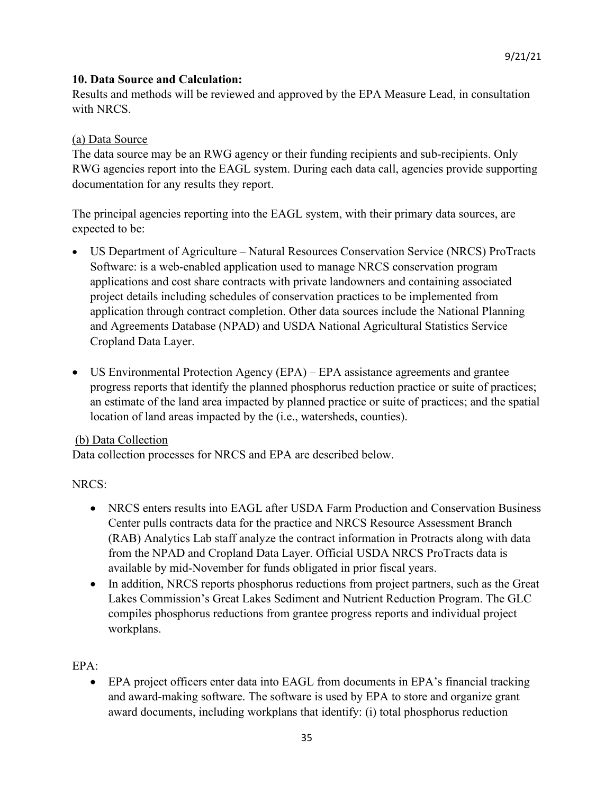### **10. Data Source and Calculation:**

Results and methods will be reviewed and approved by the EPA Measure Lead, in consultation with NRCS.

#### (a) Data Source

The data source may be an RWG agency or their funding recipients and sub-recipients. Only RWG agencies report into the EAGL system. During each data call, agencies provide supporting documentation for any results they report.

The principal agencies reporting into the EAGL system, with their primary data sources, are expected to be:

- US Department of Agriculture Natural Resources Conservation Service (NRCS) ProTracts Software: is a web-enabled application used to manage NRCS conservation program applications and cost share contracts with private landowners and containing associated project details including schedules of conservation practices to be implemented from application through contract completion. Other data sources include the National Planning and Agreements Database (NPAD) and USDA National Agricultural Statistics Service Cropland Data Layer.
- US Environmental Protection Agency (EPA) EPA assistance agreements and grantee progress reports that identify the planned phosphorus reduction practice or suite of practices; an estimate of the land area impacted by planned practice or suite of practices; and the spatial location of land areas impacted by the (i.e., watersheds, counties).

### (b) Data Collection

Data collection processes for NRCS and EPA are described below.

### NRCS:

- NRCS enters results into EAGL after USDA Farm Production and Conservation Business Center pulls contracts data for the practice and NRCS Resource Assessment Branch (RAB) Analytics Lab staff analyze the contract information in Protracts along with data from the NPAD and Cropland Data Layer. Official USDA NRCS ProTracts data is available by mid-November for funds obligated in prior fiscal years.
- In addition, NRCS reports phosphorus reductions from project partners, such as the Great Lakes Commission's Great Lakes Sediment and Nutrient Reduction Program. The GLC compiles phosphorus reductions from grantee progress reports and individual project workplans.

### EPA:

• EPA project officers enter data into EAGL from documents in EPA's financial tracking and award-making software. The software is used by EPA to store and organize grant award documents, including workplans that identify: (i) total phosphorus reduction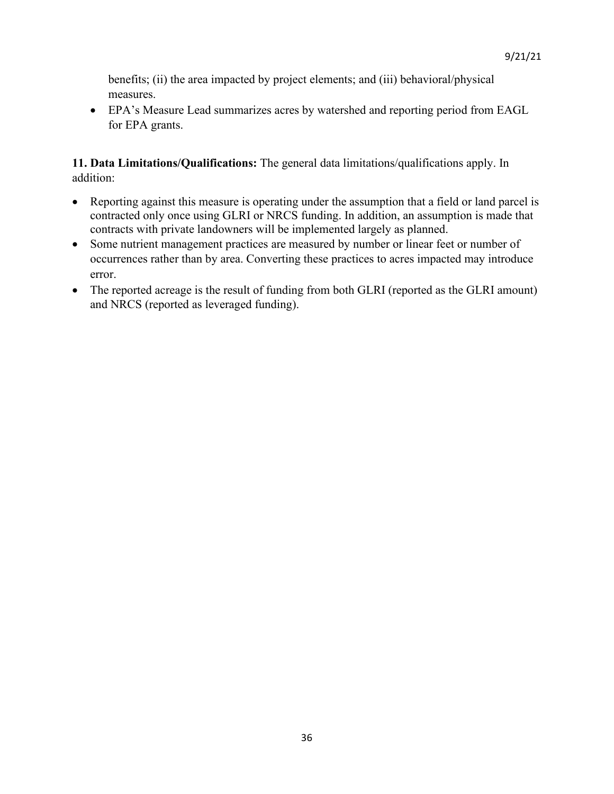benefits; (ii) the area impacted by project elements; and (iii) behavioral/physical measures.

• EPA's Measure Lead summarizes acres by watershed and reporting period from EAGL for EPA grants.

**11. Data Limitations/Qualifications:** The general data limitations/qualifications apply. In addition:

- Reporting against this measure is operating under the assumption that a field or land parcel is contracted only once using GLRI or NRCS funding. In addition, an assumption is made that contracts with private landowners will be implemented largely as planned.
- Some nutrient management practices are measured by number or linear feet or number of occurrences rather than by area. Converting these practices to acres impacted may introduce error.
- The reported acreage is the result of funding from both GLRI (reported as the GLRI amount) and NRCS (reported as leveraged funding).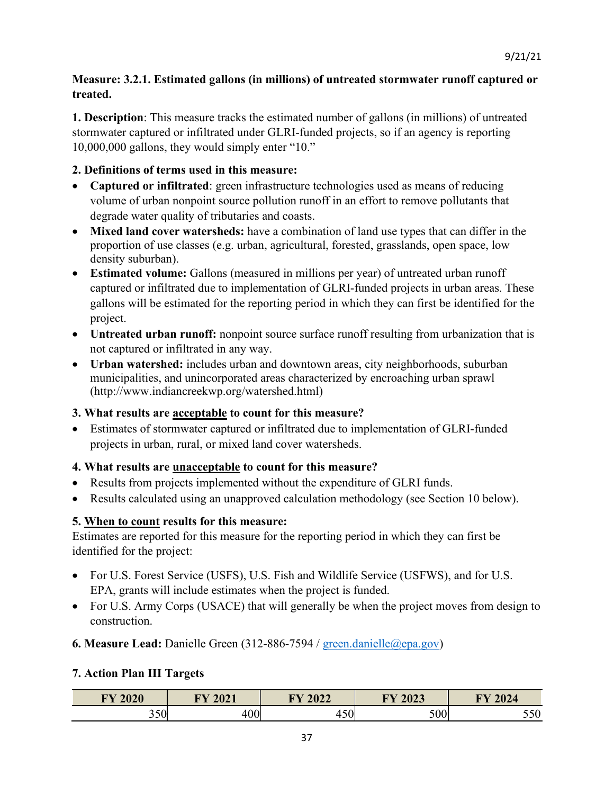# **Measure: 3.2.1. Estimated gallons (in millions) of untreated stormwater runoff captured or treated.**

**1. Description**: This measure tracks the estimated number of gallons (in millions) of untreated stormwater captured or infiltrated under GLRI-funded projects, so if an agency is reporting 10,000,000 gallons, they would simply enter "10."

# **2. Definitions of terms used in this measure:**

- **Captured or infiltrated**: green infrastructure technologies used as means of reducing volume of urban nonpoint source pollution runoff in an effort to remove pollutants that degrade water quality of tributaries and coasts.
- **Mixed land cover watersheds:** have a combination of land use types that can differ in the proportion of use classes (e.g. urban, agricultural, forested, grasslands, open space, low density suburban).
- **Estimated volume:** Gallons (measured in millions per year) of untreated urban runoff captured or infiltrated due to implementation of GLRI-funded projects in urban areas. These gallons will be estimated for the reporting period in which they can first be identified for the project.
- **Untreated urban runoff:** nonpoint source surface runoff resulting from urbanization that is not captured or infiltrated in any way.
- **Urban watershed:** includes urban and downtown areas, city neighborhoods, suburban municipalities, and unincorporated areas characterized by encroaching urban sprawl [\(http://www.indiancreekwp.org/watershed.html\)](http://www.indiancreekwp.org/watershed.html)

# **3. What results are acceptable to count for this measure?**

• Estimates of stormwater captured or infiltrated due to implementation of GLRI-funded projects in urban, rural, or mixed land cover watersheds.

# **4. What results are unacceptable to count for this measure?**

- Results from projects implemented without the expenditure of GLRI funds.
- Results calculated using an unapproved calculation methodology (see Section 10 below).

# **5. When to count results for this measure:**

Estimates are reported for this measure for the reporting period in which they can first be identified for the project:

- For U.S. Forest Service (USFS), U.S. Fish and Wildlife Service (USFWS), and for U.S. EPA, grants will include estimates when the project is funded.
- For U.S. Army Corps (USACE) that will generally be when the project moves from design to construction.
- **6. Measure Lead:** Danielle Green (312-886-7594 / [green.danielle@epa.gov\)](mailto:green.danielle@epa.gov)

# **7. Action Plan III Targets**

| $\mathbf{F} \mathbf{V}$ 2020<br>,VZV | EV 2021<br>404 L | <b>FY 2022</b> | <b>TY 2023</b> | (7.202)<br><b>TRY</b><br>2024 |
|--------------------------------------|------------------|----------------|----------------|-------------------------------|
| 350                                  | $\Omega$<br>∙∪∪  | 50<br>+JV      | 500            | 550<br>υυ                     |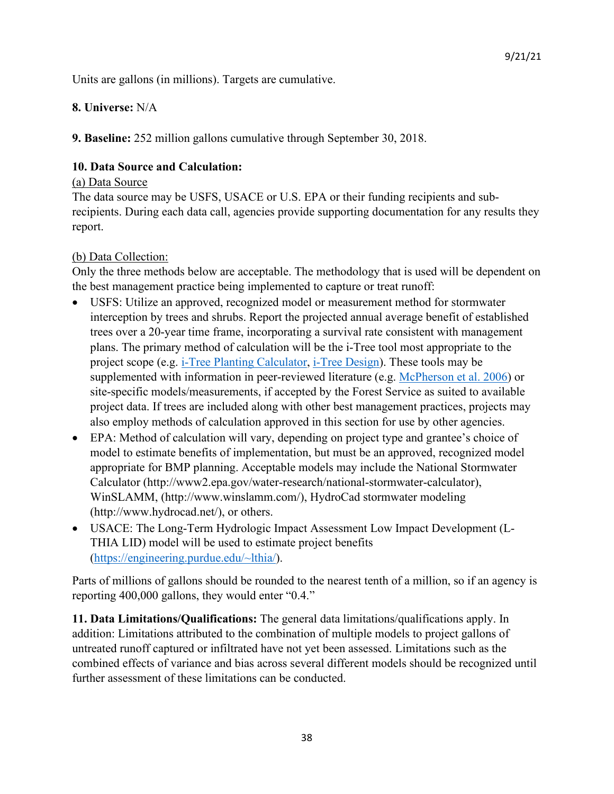Units are gallons (in millions). Targets are cumulative.

#### **8. Universe:** N/A

**9. Baseline:** 252 million gallons cumulative through September 30, 2018.

### **10. Data Source and Calculation:**

#### (a) Data Source

The data source may be USFS, USACE or U.S. EPA or their funding recipients and subrecipients. During each data call, agencies provide supporting documentation for any results they report.

### (b) Data Collection:

Only the three methods below are acceptable. The methodology that is used will be dependent on the best management practice being implemented to capture or treat runoff:

- USFS: Utilize an approved, recognized model or measurement method for stormwater interception by trees and shrubs. Report the projected annual average benefit of established trees over a 20-year time frame, incorporating a survival rate consistent with management plans. The primary method of calculation will be the i-Tree tool most appropriate to the project scope (e.g. i-Tree Planting Calculator, i-Tree Design). These tools may be supplemented with information in peer-reviewed literature (e.g. McPherson et al. 2006) or site-specific models/measurements, if accepted by the Forest Service as suited to available project data. If trees are included along with other best management practices, projects may also employ methods of calculation approved in this section for use by other agencies.
- EPA: Method of calculation will vary, depending on project type and grantee's choice of model to estimate benefits of implementation, but must be an approved, recognized model appropriate for BMP planning. Acceptable models may include the National Stormwater Calculator (http://www2.epa.gov/water-research/national-stormwater-calculator), WinSLAMM, (http://www.winslamm.com/), HydroCad stormwater modeling (http://www.hydrocad.net/), or others.
- USACE: The Long-Term Hydrologic Impact Assessment Low Impact Development (L-THIA LID) model will be used to estimate project benefits [\(https://engineering.purdue.edu/~lthia/\)](https://engineering.purdue.edu/%7Elthia/).

Parts of millions of gallons should be rounded to the nearest tenth of a million, so if an agency is reporting 400,000 gallons, they would enter "0.4."

**11. Data Limitations/Qualifications:** The general data limitations/qualifications apply. In addition: Limitations attributed to the combination of multiple models to project gallons of untreated runoff captured or infiltrated have not yet been assessed. Limitations such as the combined effects of variance and bias across several different models should be recognized until further assessment of these limitations can be conducted.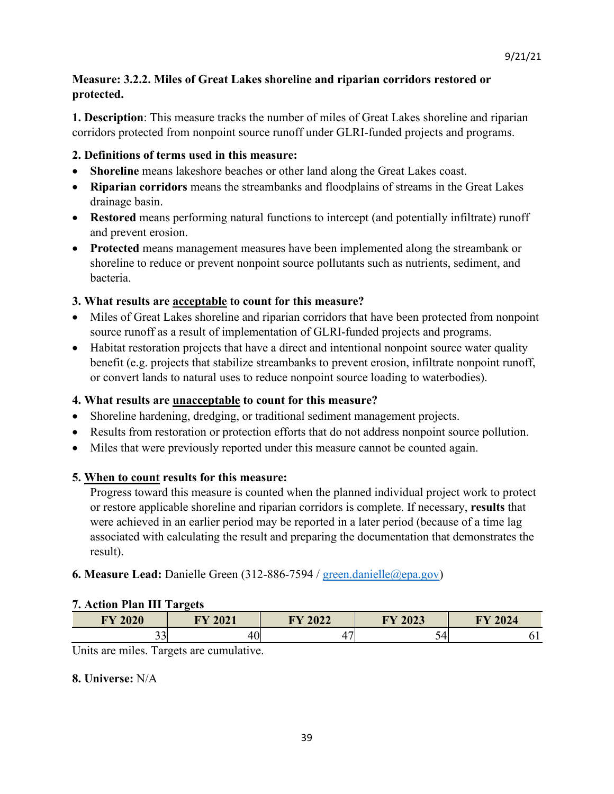# **Measure: 3.2.2. Miles of Great Lakes shoreline and riparian corridors restored or protected.**

**1. Description**: This measure tracks the number of miles of Great Lakes shoreline and riparian corridors protected from nonpoint source runoff under GLRI-funded projects and programs.

### **2. Definitions of terms used in this measure:**

- **Shoreline** means lakeshore beaches or other land along the Great Lakes coast.
- **Riparian corridors** means the streambanks and floodplains of streams in the Great Lakes drainage basin.
- **Restored** means performing natural functions to intercept (and potentially infiltrate) runoff and prevent erosion.
- **Protected** means management measures have been implemented along the streambank or shoreline to reduce or prevent nonpoint source pollutants such as nutrients, sediment, and bacteria.

#### **3. What results are acceptable to count for this measure?**

- Miles of Great Lakes shoreline and riparian corridors that have been protected from nonpoint source runoff as a result of implementation of GLRI-funded projects and programs.
- Habitat restoration projects that have a direct and intentional nonpoint source water quality benefit (e.g. projects that stabilize streambanks to prevent erosion, infiltrate nonpoint runoff, or convert lands to natural uses to reduce nonpoint source loading to waterbodies).

#### **4. What results are unacceptable to count for this measure?**

- Shoreline hardening, dredging, or traditional sediment management projects.
- Results from restoration or protection efforts that do not address nonpoint source pollution.
- Miles that were previously reported under this measure cannot be counted again.

### **5. When to count results for this measure:**

Progress toward this measure is counted when the planned individual project work to protect or restore applicable shoreline and riparian corridors is complete. If necessary, **results** that were achieved in an earlier period may be reported in a later period (because of a time lag associated with calculating the result and preparing the documentation that demonstrates the result).

### **6. Measure Lead:** Danielle Green (312-886-7594 / [green.danielle@epa.gov\)](mailto:green.danielle@epa.gov)

#### **7. Action Plan III Targets**

| <b>FY 2020</b> | <b>EV 2021</b><br>404 L | <b>FY 2022</b> | <b>FY 2023</b> | 2024<br><b>TIV</b> |
|----------------|-------------------------|----------------|----------------|--------------------|
| $\sim$<br>ັບ   | 4V)                     | -              | -<br>ັ         | ັ້                 |

Units are miles. Targets are cumulative.

#### **8. Universe:** N/A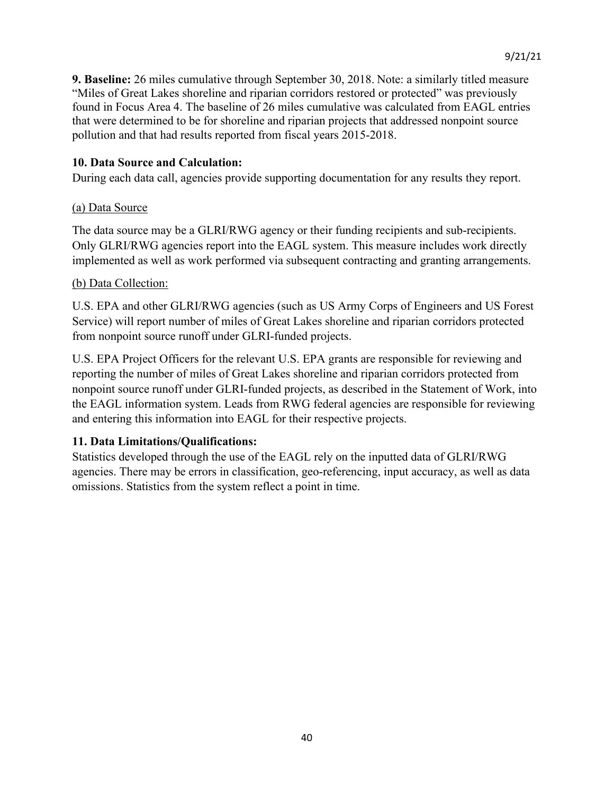**9. Baseline:** 26 miles cumulative through September 30, 2018. Note: a similarly titled measure "Miles of Great Lakes shoreline and riparian corridors restored or protected" was previously found in Focus Area 4. The baseline of 26 miles cumulative was calculated from EAGL entries that were determined to be for shoreline and riparian projects that addressed nonpoint source pollution and that had results reported from fiscal years 2015-2018.

#### **10. Data Source and Calculation:**

During each data call, agencies provide supporting documentation for any results they report.

#### (a) Data Source

The data source may be a GLRI/RWG agency or their funding recipients and sub-recipients. Only GLRI/RWG agencies report into the EAGL system. This measure includes work directly implemented as well as work performed via subsequent contracting and granting arrangements.

#### (b) Data Collection:

U.S. EPA and other GLRI/RWG agencies (such as US Army Corps of Engineers and US Forest Service) will report number of miles of Great Lakes shoreline and riparian corridors protected from nonpoint source runoff under GLRI-funded projects.

U.S. EPA Project Officers for the relevant U.S. EPA grants are responsible for reviewing and reporting the number of miles of Great Lakes shoreline and riparian corridors protected from nonpoint source runoff under GLRI-funded projects, as described in the Statement of Work, into the EAGL information system. Leads from RWG federal agencies are responsible for reviewing and entering this information into EAGL for their respective projects.

#### **11. Data Limitations/Qualifications:**

Statistics developed through the use of the EAGL rely on the inputted data of GLRI/RWG agencies. There may be errors in classification, geo-referencing, input accuracy, as well as data omissions. Statistics from the system reflect a point in time.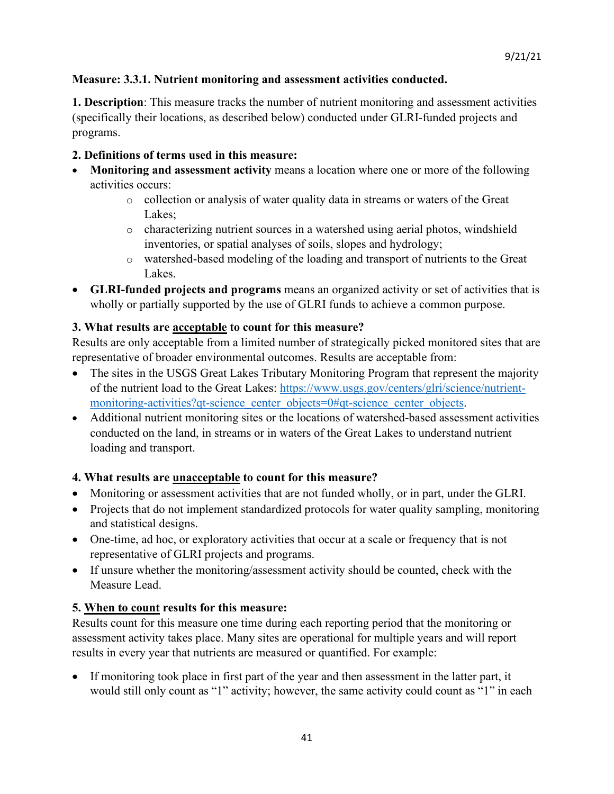# **Measure: 3.3.1. Nutrient monitoring and assessment activities conducted.**

**1. Description**: This measure tracks the number of nutrient monitoring and assessment activities (specifically their locations, as described below) conducted under GLRI-funded projects and programs.

# **2. Definitions of terms used in this measure:**

- **Monitoring and assessment activity** means a location where one or more of the following activities occurs:
	- $\circ$  collection or analysis of water quality data in streams or waters of the Great Lakes;
	- $\circ$  characterizing nutrient sources in a watershed using aerial photos, windshield inventories, or spatial analyses of soils, slopes and hydrology;
	- o watershed-based modeling of the loading and transport of nutrients to the Great Lakes.
- **GLRI-funded projects and programs** means an organized activity or set of activities that is wholly or partially supported by the use of GLRI funds to achieve a common purpose.

# **3. What results are acceptable to count for this measure?**

Results are only acceptable from a limited number of strategically picked monitored sites that are representative of broader environmental outcomes. Results are acceptable from:

- The sites in the USGS Great Lakes Tributary Monitoring Program that represent the majority of the nutrient load to the Great Lakes: [https://www.usgs.gov/centers/glri/science/nutrient](https://www.usgs.gov/centers/glri/science/nutrient-monitoring-activities?qt-science_center_objects=0#qt-science_center_objects)[monitoring-activities?qt-science\\_center\\_objects=0#qt-science\\_center\\_objects.](https://www.usgs.gov/centers/glri/science/nutrient-monitoring-activities?qt-science_center_objects=0#qt-science_center_objects)
- Additional nutrient monitoring sites or the locations of watershed-based assessment activities conducted on the land, in streams or in waters of the Great Lakes to understand nutrient loading and transport.

# **4. What results are unacceptable to count for this measure?**

- Monitoring or assessment activities that are not funded wholly, or in part, under the GLRI.
- Projects that do not implement standardized protocols for water quality sampling, monitoring and statistical designs.
- One-time, ad hoc, or exploratory activities that occur at a scale or frequency that is not representative of GLRI projects and programs.
- If unsure whether the monitoring/assessment activity should be counted, check with the Measure Lead.

### **5. When to count results for this measure:**

Results count for this measure one time during each reporting period that the monitoring or assessment activity takes place. Many sites are operational for multiple years and will report results in every year that nutrients are measured or quantified. For example:

If monitoring took place in first part of the year and then assessment in the latter part, it would still only count as "1" activity; however, the same activity could count as "1" in each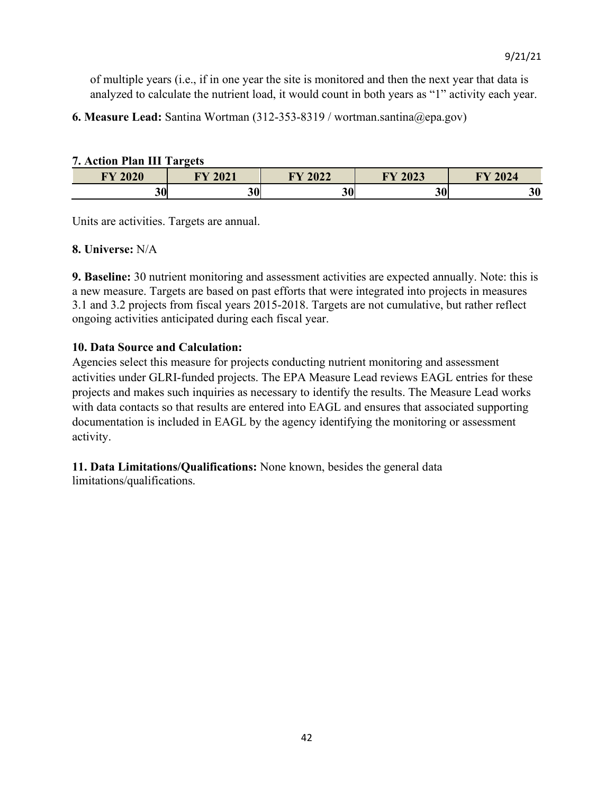of multiple years (i.e., if in one year the site is monitored and then the next year that data is analyzed to calculate the nutrient load, it would count in both years as "1" activity each year.

**6. Measure Lead:** Santina Wortman (312-353-8319 / wortman.santina@epa.gov)

#### **7. Action Plan III Targets**

| <b>EV 2020</b><br>UZU | $201$<br><b>ENT</b><br>'UZL | <b>EXZA000</b><br>VZZ     | FY 2023 | 2024<br><b>TIV</b> |
|-----------------------|-----------------------------|---------------------------|---------|--------------------|
| эΛ<br>JUI             | ኅ Λ<br>ີ                    | $\bullet$ $\bullet$<br>JU | 30      | 30                 |

Units are activities. Targets are annual.

### **8. Universe:** N/A

**9. Baseline:** 30 nutrient monitoring and assessment activities are expected annually. Note: this is a new measure. Targets are based on past efforts that were integrated into projects in measures 3.1 and 3.2 projects from fiscal years 2015-2018. Targets are not cumulative, but rather reflect ongoing activities anticipated during each fiscal year.

# **10. Data Source and Calculation:**

Agencies select this measure for projects conducting nutrient monitoring and assessment activities under GLRI-funded projects. The EPA Measure Lead reviews EAGL entries for these projects and makes such inquiries as necessary to identify the results. The Measure Lead works with data contacts so that results are entered into EAGL and ensures that associated supporting documentation is included in EAGL by the agency identifying the monitoring or assessment activity.

**11. Data Limitations/Qualifications:** None known, besides the general data limitations/qualifications.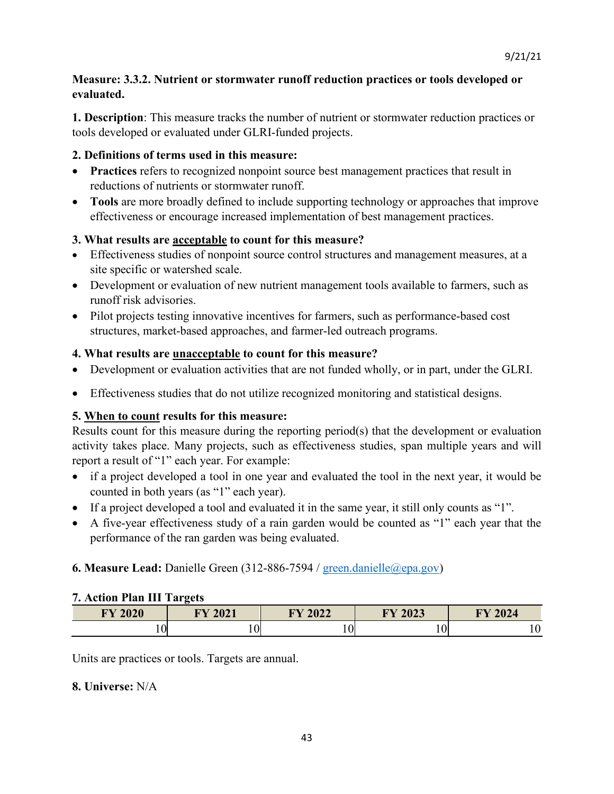# **Measure: 3.3.2. Nutrient or stormwater runoff reduction practices or tools developed or evaluated.**

**1. Description**: This measure tracks the number of nutrient or stormwater reduction practices or tools developed or evaluated under GLRI-funded projects.

# **2. Definitions of terms used in this measure:**

- **Practices** refers to recognized nonpoint source best management practices that result in reductions of nutrients or stormwater runoff.
- **Tools** are more broadly defined to include supporting technology or approaches that improve effectiveness or encourage increased implementation of best management practices.

# **3. What results are acceptable to count for this measure?**

- Effectiveness studies of nonpoint source control structures and management measures, at a site specific or watershed scale.
- Development or evaluation of new nutrient management tools available to farmers, such as runoff risk advisories.
- Pilot projects testing innovative incentives for farmers, such as performance-based cost structures, market-based approaches, and farmer-led outreach programs.

# **4. What results are unacceptable to count for this measure?**

- Development or evaluation activities that are not funded wholly, or in part, under the GLRI.
- Effectiveness studies that do not utilize recognized monitoring and statistical designs.

# **5. When to count results for this measure:**

Results count for this measure during the reporting period(s) that the development or evaluation activity takes place. Many projects, such as effectiveness studies, span multiple years and will report a result of "1" each year. For example:

- if a project developed a tool in one year and evaluated the tool in the next year, it would be counted in both years (as "1" each year).
- If a project developed a tool and evaluated it in the same year, it still only counts as "1".
- A five-year effectiveness study of a rain garden would be counted as "1" each year that the performance of the ran garden was being evaluated.

# **6. Measure Lead:** Danielle Green (312-886-7594 / [green.danielle@epa.gov\)](mailto:green.danielle@epa.gov)

### **7. Action Plan III Targets**

| <b>FY 2020</b> | EV 2021<br>404 L | <b>FY 2022</b> | <b>TY 2023</b> | $Y$ 2024<br><b>TIV</b> |
|----------------|------------------|----------------|----------------|------------------------|
| 10             | $\overline{0}$   | 10             | ⌒<br>v         |                        |

Units are practices or tools. Targets are annual.

### **8. Universe:** N/A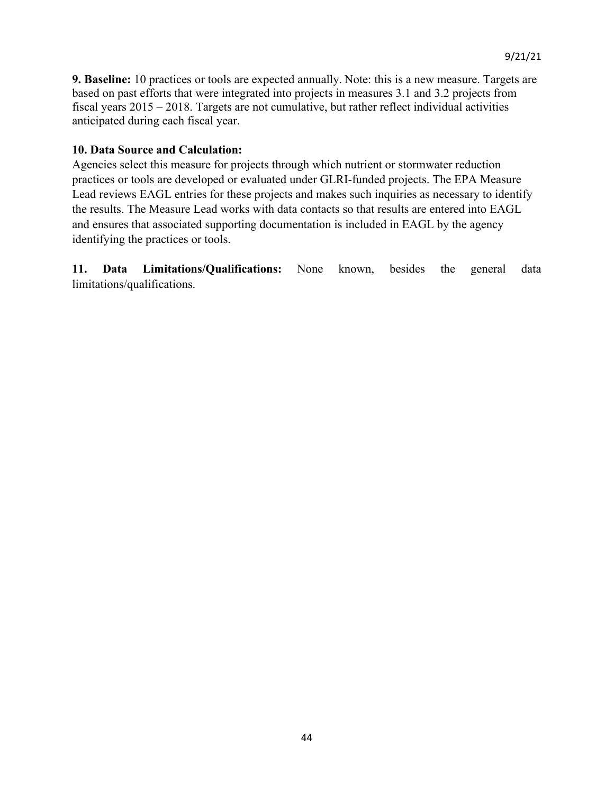**9. Baseline:** 10 practices or tools are expected annually. Note: this is a new measure. Targets are based on past efforts that were integrated into projects in measures 3.1 and 3.2 projects from fiscal years 2015 – 2018. Targets are not cumulative, but rather reflect individual activities anticipated during each fiscal year.

#### **10. Data Source and Calculation:**

Agencies select this measure for projects through which nutrient or stormwater reduction practices or tools are developed or evaluated under GLRI-funded projects. The EPA Measure Lead reviews EAGL entries for these projects and makes such inquiries as necessary to identify the results. The Measure Lead works with data contacts so that results are entered into EAGL and ensures that associated supporting documentation is included in EAGL by the agency identifying the practices or tools.

**11. Data Limitations/Qualifications:** None known, besides the general data limitations/qualifications.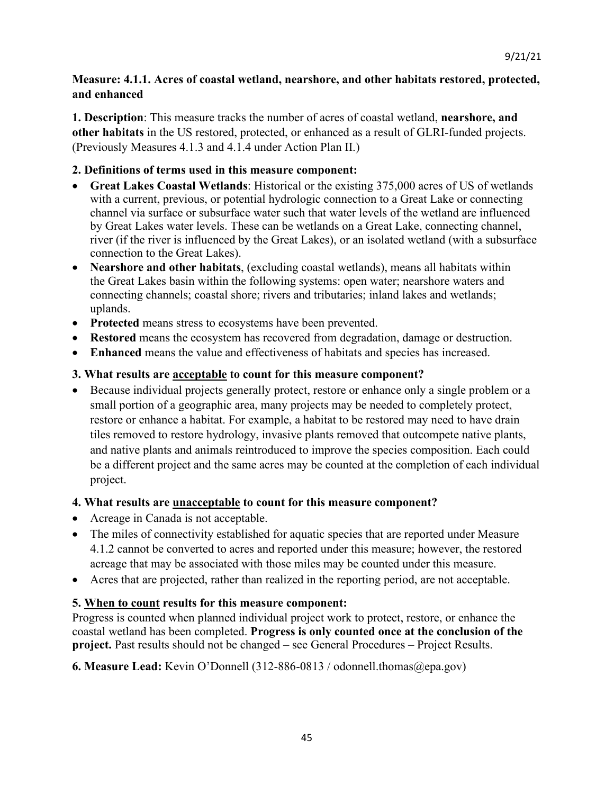# **Measure: 4.1.1. Acres of coastal wetland, nearshore, and other habitats restored, protected, and enhanced**

**1. Description**: This measure tracks the number of acres of coastal wetland, **nearshore, and other habitats** in the US restored, protected, or enhanced as a result of GLRI-funded projects. (Previously Measures 4.1.3 and 4.1.4 under Action Plan II.)

# **2. Definitions of terms used in this measure component:**

- **Great Lakes Coastal Wetlands**: Historical or the existing 375,000 acres of US of wetlands with a current, previous, or potential hydrologic connection to a Great Lake or connecting channel via surface or subsurface water such that water levels of the wetland are influenced by Great Lakes water levels. These can be wetlands on a Great Lake, connecting channel, river (if the river is influenced by the Great Lakes), or an isolated wetland (with a subsurface connection to the Great Lakes).
- **Nearshore and other habitats**, (excluding coastal wetlands), means all habitats within the Great Lakes basin within the following systems: open water; nearshore waters and connecting channels; coastal shore; rivers and tributaries; inland lakes and wetlands; uplands.
- **Protected** means stress to ecosystems have been prevented.
- **Restored** means the ecosystem has recovered from degradation, damage or destruction.
- **Enhanced** means the value and effectiveness of habitats and species has increased.

# **3. What results are acceptable to count for this measure component?**

• Because individual projects generally protect, restore or enhance only a single problem or a small portion of a geographic area, many projects may be needed to completely protect, restore or enhance a habitat. For example, a habitat to be restored may need to have drain tiles removed to restore hydrology, invasive plants removed that outcompete native plants, and native plants and animals reintroduced to improve the species composition. Each could be a different project and the same acres may be counted at the completion of each individual project.

### **4. What results are unacceptable to count for this measure component?**

- Acreage in Canada is not acceptable.
- The miles of connectivity established for aquatic species that are reported under Measure 4.1.2 cannot be converted to acres and reported under this measure; however, the restored acreage that may be associated with those miles may be counted under this measure.
- Acres that are projected, rather than realized in the reporting period, are not acceptable.

# **5. When to count results for this measure component:**

Progress is counted when planned individual project work to protect, restore, or enhance the coastal wetland has been completed. **Progress is only counted once at the conclusion of the project.** Past results should not be changed – see General Procedures – Project Results.

**6. Measure Lead:** Kevin O'Donnell (312-886-0813 / odonnell.thomas@epa.gov)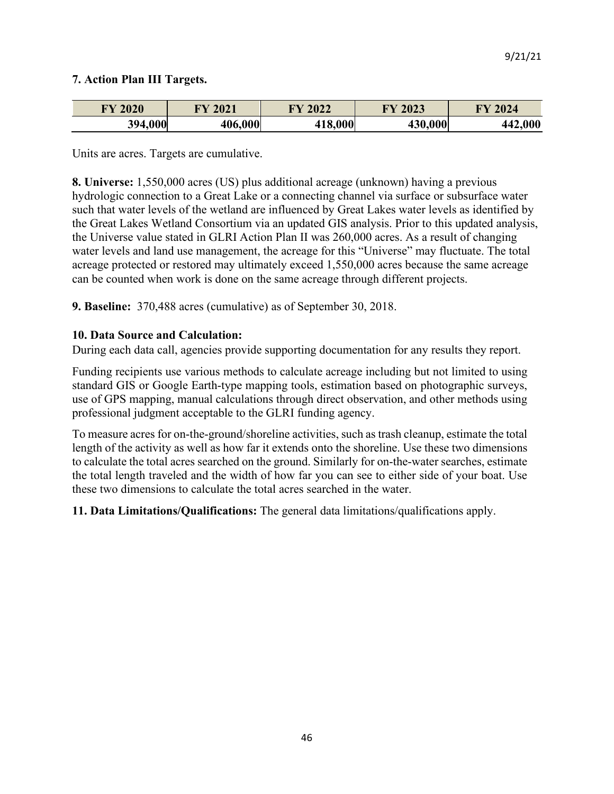# **7. Action Plan III Targets.**

| <b>FY 2020</b> | 2021    | 12022<br>TV. | 2023    | 2024    |
|----------------|---------|--------------|---------|---------|
| 394,000        | 406,000 | 18,000       | 430,000 | 442,000 |

Units are acres. Targets are cumulative.

**8. Universe:** 1,550,000 acres (US) plus additional acreage (unknown) having a previous hydrologic connection to a Great Lake or a connecting channel via surface or subsurface water such that water levels of the wetland are influenced by Great Lakes water levels as identified by the Great Lakes Wetland Consortium via an updated GIS analysis. Prior to this updated analysis, the Universe value stated in GLRI Action Plan II was 260,000 acres. As a result of changing water levels and land use management, the acreage for this "Universe" may fluctuate. The total acreage protected or restored may ultimately exceed 1,550,000 acres because the same acreage can be counted when work is done on the same acreage through different projects.

**9. Baseline:** 370,488 acres (cumulative) as of September 30, 2018.

#### **10. Data Source and Calculation:**

During each data call, agencies provide supporting documentation for any results they report.

Funding recipients use various methods to calculate acreage including but not limited to using standard GIS or Google Earth-type mapping tools, estimation based on photographic surveys, use of GPS mapping, manual calculations through direct observation, and other methods using professional judgment acceptable to the GLRI funding agency.

To measure acres for on-the-ground/shoreline activities, such as trash cleanup, estimate the total length of the activity as well as how far it extends onto the shoreline. Use these two dimensions to calculate the total acres searched on the ground. Similarly for on-the-water searches, estimate the total length traveled and the width of how far you can see to either side of your boat. Use these two dimensions to calculate the total acres searched in the water.

**11. Data Limitations/Qualifications:** The general data limitations/qualifications apply.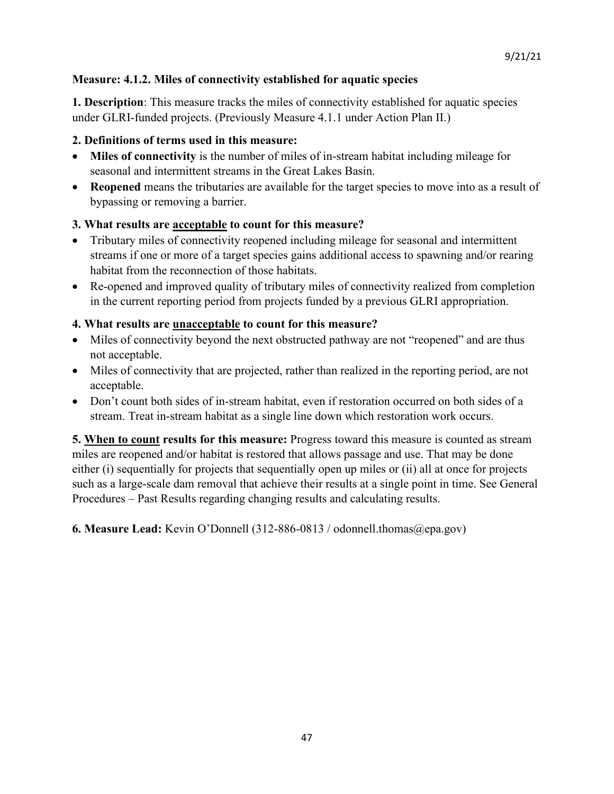# **Measure: 4.1.2. Miles of connectivity established for aquatic species**

**1. Description**: This measure tracks the miles of connectivity established for aquatic species under GLRI-funded projects. (Previously Measure 4.1.1 under Action Plan II.)

# **2. Definitions of terms used in this measure:**

- **Miles of connectivity** is the number of miles of in-stream habitat including mileage for seasonal and intermittent streams in the Great Lakes Basin.
- **Reopened** means the tributaries are available for the target species to move into as a result of bypassing or removing a barrier.

# **3. What results are acceptable to count for this measure?**

- Tributary miles of connectivity reopened including mileage for seasonal and intermittent streams if one or more of a target species gains additional access to spawning and/or rearing habitat from the reconnection of those habitats.
- Re-opened and improved quality of tributary miles of connectivity realized from completion in the current reporting period from projects funded by a previous GLRI appropriation.

# **4. What results are unacceptable to count for this measure?**

- Miles of connectivity beyond the next obstructed pathway are not "reopened" and are thus not acceptable.
- Miles of connectivity that are projected, rather than realized in the reporting period, are not acceptable.
- Don't count both sides of in-stream habitat, even if restoration occurred on both sides of a stream. Treat in-stream habitat as a single line down which restoration work occurs.

**5. When to count results for this measure:** Progress toward this measure is counted as stream miles are reopened and/or habitat is restored that allows passage and use. That may be done either (i) sequentially for projects that sequentially open up miles or (ii) all at once for projects such as a large-scale dam removal that achieve their results at a single point in time. See General Procedures – Past Results regarding changing results and calculating results.

**6. Measure Lead:** Kevin O'Donnell (312-886-0813 / odonnell.thomas@epa.gov)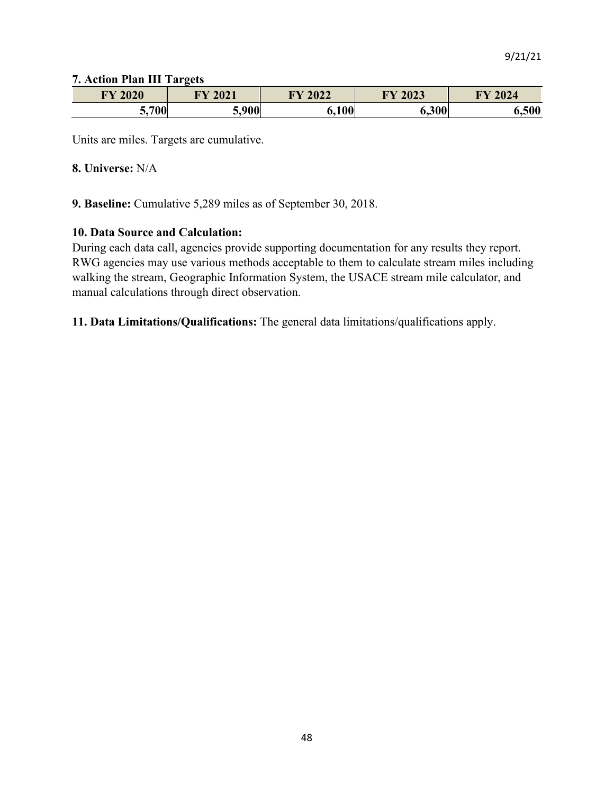#### **7. Action Plan III Targets**

| <b>FY 2020</b> | 2021<br><b>DVZ</b><br>UZ 1 | $Y$ 2022 | 2023<br>$\blacksquare$ | 2024  |
|----------------|----------------------------|----------|------------------------|-------|
| ,700<br>۰. .   | 5 QVU<br>'vv<br>. ق ب      | 6,100    | 6,300                  | 6,500 |

Units are miles. Targets are cumulative.

#### **8. Universe:** N/A

**9. Baseline:** Cumulative 5,289 miles as of September 30, 2018.

#### **10. Data Source and Calculation:**

During each data call, agencies provide supporting documentation for any results they report. RWG agencies may use various methods acceptable to them to calculate stream miles including walking the stream, Geographic Information System, the USACE stream mile calculator, and manual calculations through direct observation.

**11. Data Limitations/Qualifications:** The general data limitations/qualifications apply.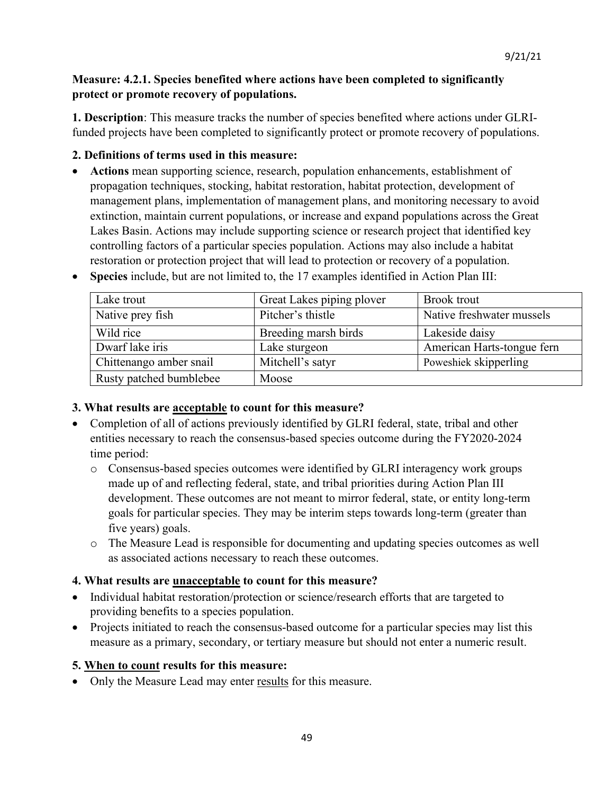# **Measure: 4.2.1. Species benefited where actions have been completed to significantly protect or promote recovery of populations.**

**1. Description**: This measure tracks the number of species benefited where actions under GLRIfunded projects have been completed to significantly protect or promote recovery of populations.

# **2. Definitions of terms used in this measure:**

• **Actions** mean supporting science, research, population enhancements, establishment of propagation techniques, stocking, habitat restoration, habitat protection, development of management plans, implementation of management plans, and monitoring necessary to avoid extinction, maintain current populations, or increase and expand populations across the Great Lakes Basin. Actions may include supporting science or research project that identified key controlling factors of a particular species population. Actions may also include a habitat restoration or protection project that will lead to protection or recovery of a population.

| Lake trout              | Great Lakes piping plover | <b>Brook</b> trout         |
|-------------------------|---------------------------|----------------------------|
| Native prey fish        | Pitcher's thistle         | Native freshwater mussels  |
| Wild rice               | Breeding marsh birds      | Lakeside daisy             |
| Dwarf lake iris         | Lake sturgeon             | American Harts-tongue fern |
| Chittenango amber snail | Mitchell's satyr          | Poweshiek skipperling      |
| Rusty patched bumblebee | Moose                     |                            |

• **Species** include, but are not limited to, the 17 examples identified in Action Plan III:

# **3. What results are acceptable to count for this measure?**

- Completion of all of actions previously identified by GLRI federal, state, tribal and other entities necessary to reach the consensus-based species outcome during the FY2020-2024 time period:
	- o Consensus-based species outcomes were identified by GLRI interagency work groups made up of and reflecting federal, state, and tribal priorities during Action Plan III development. These outcomes are not meant to mirror federal, state, or entity long-term goals for particular species. They may be interim steps towards long-term (greater than five years) goals.
	- o The Measure Lead is responsible for documenting and updating species outcomes as well as associated actions necessary to reach these outcomes.

# **4. What results are unacceptable to count for this measure?**

- Individual habitat restoration/protection or science/research efforts that are targeted to providing benefits to a species population.
- Projects initiated to reach the consensus-based outcome for a particular species may list this measure as a primary, secondary, or tertiary measure but should not enter a numeric result.

# **5. When to count results for this measure:**

• Only the Measure Lead may enter results for this measure.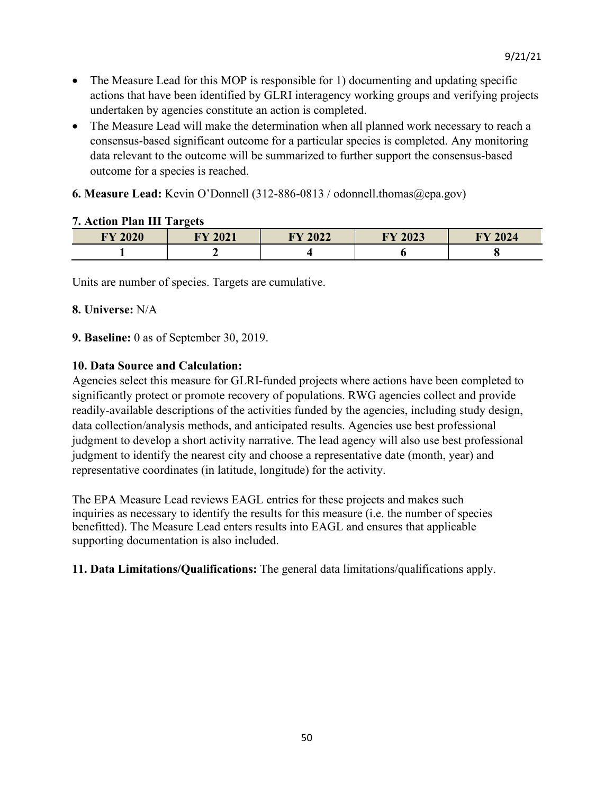- The Measure Lead for this MOP is responsible for 1) documenting and updating specific actions that have been identified by GLRI interagency working groups and verifying projects undertaken by agencies constitute an action is completed.
- The Measure Lead will make the determination when all planned work necessary to reach a consensus-based significant outcome for a particular species is completed. Any monitoring data relevant to the outcome will be summarized to further support the consensus-based outcome for a species is reached.
- **6. Measure Lead:** Kevin O'Donnell (312-886-0813 / odonnell.thomas@epa.gov)

# **FY 2020 FY 2021 FY 2022 FY 2023 FY 2024 1 2 4 6 8**

### **7. Action Plan III Targets**

Units are number of species. Targets are cumulative.

#### **8. Universe:** N/A

#### **9. Baseline:** 0 as of September 30, 2019.

#### **10. Data Source and Calculation:**

Agencies select this measure for GLRI-funded projects where actions have been completed to significantly protect or promote recovery of populations. RWG agencies collect and provide readily-available descriptions of the activities funded by the agencies, including study design, data collection/analysis methods, and anticipated results. Agencies use best professional judgment to develop a short activity narrative. The lead agency will also use best professional judgment to identify the nearest city and choose a representative date (month, year) and representative coordinates (in latitude, longitude) for the activity.

The EPA Measure Lead reviews EAGL entries for these projects and makes such inquiries as necessary to identify the results for this measure (i.e. the number of species benefitted). The Measure Lead enters results into EAGL and ensures that applicable supporting documentation is also included.

**11. Data Limitations/Qualifications:** The general data limitations/qualifications apply.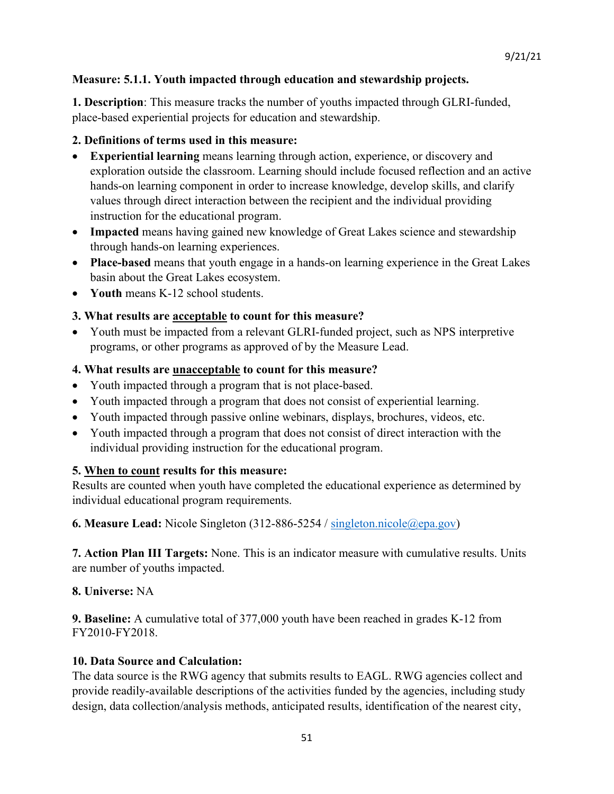# **Measure: 5.1.1. Youth impacted through education and stewardship projects.**

**1. Description**: This measure tracks the number of youths impacted through GLRI-funded, place-based experiential projects for education and stewardship.

# **2. Definitions of terms used in this measure:**

- **Experiential learning** means learning through action, experience, or discovery and exploration outside the classroom. Learning should include focused reflection and an active hands-on learning component in order to increase knowledge, develop skills, and clarify values through direct interaction between the recipient and the individual providing instruction for the educational program.
- **Impacted** means having gained new knowledge of Great Lakes science and stewardship through hands-on learning experiences.
- **Place-based** means that youth engage in a hands-on learning experience in the Great Lakes basin about the Great Lakes ecosystem.
- **Youth** means K-12 school students.

# **3. What results are acceptable to count for this measure?**

• Youth must be impacted from a relevant GLRI-funded project, such as NPS interpretive programs, or other programs as approved of by the Measure Lead.

# **4. What results are unacceptable to count for this measure?**

- Youth impacted through a program that is not place-based.
- Youth impacted through a program that does not consist of experiential learning.
- Youth impacted through passive online webinars, displays, brochures, videos, etc.
- Youth impacted through a program that does not consist of direct interaction with the individual providing instruction for the educational program.

# **5. When to count results for this measure:**

Results are counted when youth have completed the educational experience as determined by individual educational program requirements.

**6. Measure Lead:** Nicole Singleton (312-886-5254 / [singleton.nicole@epa.gov\)](mailto:singleton.nicole@epa.gov)

**7. Action Plan III Targets:** None. This is an indicator measure with cumulative results. Units are number of youths impacted.

### **8. Universe:** NA

**9. Baseline:** A cumulative total of 377,000 youth have been reached in grades K-12 from FY2010-FY2018.

### **10. Data Source and Calculation:**

The data source is the RWG agency that submits results to EAGL. RWG agencies collect and provide readily-available descriptions of the activities funded by the agencies, including study design, data collection/analysis methods, anticipated results, identification of the nearest city,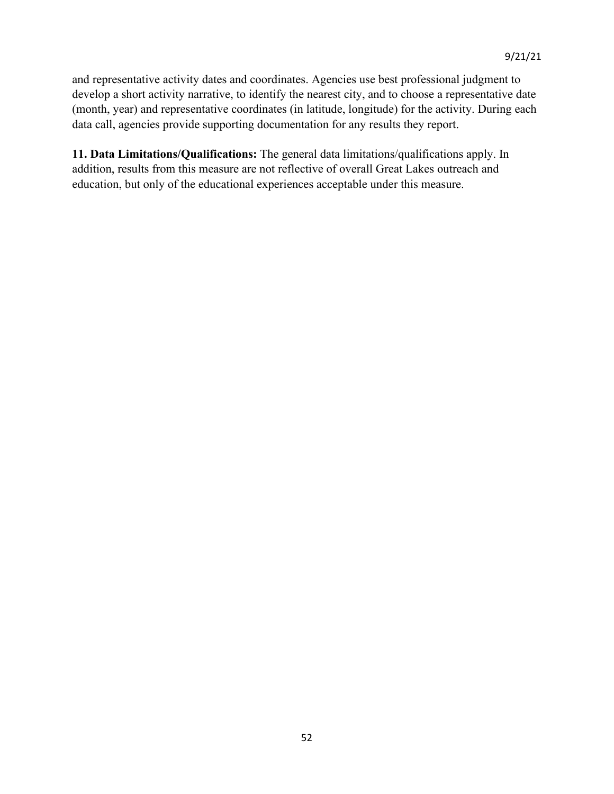and representative activity dates and coordinates. Agencies use best professional judgment to develop a short activity narrative, to identify the nearest city, and to choose a representative date (month, year) and representative coordinates (in latitude, longitude) for the activity. During each data call, agencies provide supporting documentation for any results they report.

**11. Data Limitations/Qualifications:** The general data limitations/qualifications apply. In addition, results from this measure are not reflective of overall Great Lakes outreach and education, but only of the educational experiences acceptable under this measure.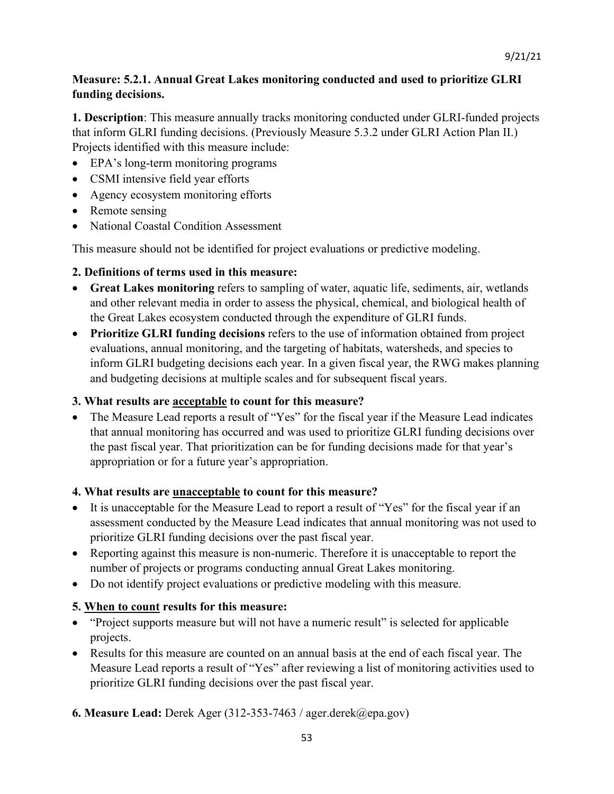# **Measure: 5.2.1. Annual Great Lakes monitoring conducted and used to prioritize GLRI funding decisions.**

**1. Description**: This measure annually tracks monitoring conducted under GLRI-funded projects that inform GLRI funding decisions. (Previously Measure 5.3.2 under GLRI Action Plan II.) Projects identified with this measure include:

- EPA's long-term monitoring programs
- CSMI intensive field year efforts
- Agency ecosystem monitoring efforts
- Remote sensing
- National Coastal Condition Assessment

This measure should not be identified for project evaluations or predictive modeling.

# **2. Definitions of terms used in this measure:**

- **Great Lakes monitoring** refers to sampling of water, aquatic life, sediments, air, wetlands and other relevant media in order to assess the physical, chemical, and biological health of the Great Lakes ecosystem conducted through the expenditure of GLRI funds.
- **Prioritize GLRI funding decisions** refers to the use of information obtained from project evaluations, annual monitoring, and the targeting of habitats, watersheds, and species to inform GLRI budgeting decisions each year. In a given fiscal year, the RWG makes planning and budgeting decisions at multiple scales and for subsequent fiscal years.

# **3. What results are acceptable to count for this measure?**

• The Measure Lead reports a result of "Yes" for the fiscal year if the Measure Lead indicates that annual monitoring has occurred and was used to prioritize GLRI funding decisions over the past fiscal year. That prioritization can be for funding decisions made for that year's appropriation or for a future year's appropriation.

### **4. What results are unacceptable to count for this measure?**

- It is unacceptable for the Measure Lead to report a result of "Yes" for the fiscal year if an assessment conducted by the Measure Lead indicates that annual monitoring was not used to prioritize GLRI funding decisions over the past fiscal year.
- Reporting against this measure is non-numeric. Therefore it is unacceptable to report the number of projects or programs conducting annual Great Lakes monitoring.
- Do not identify project evaluations or predictive modeling with this measure.

# **5. When to count results for this measure:**

- "Project supports measure but will not have a numeric result" is selected for applicable projects.
- Results for this measure are counted on an annual basis at the end of each fiscal year. The Measure Lead reports a result of "Yes" after reviewing a list of monitoring activities used to prioritize GLRI funding decisions over the past fiscal year.
- **6. Measure Lead:** Derek Ager (312-353-7463 / ager.derek@epa.gov)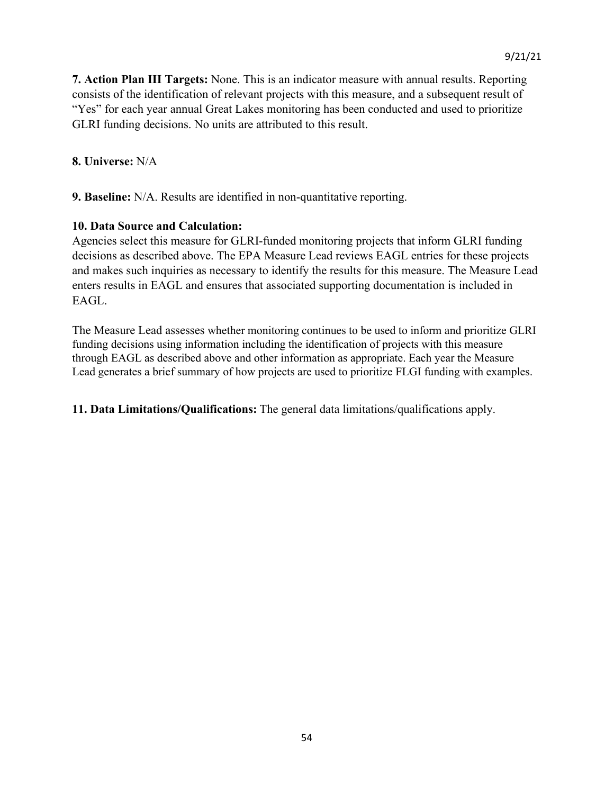**7. Action Plan III Targets:** None. This is an indicator measure with annual results. Reporting consists of the identification of relevant projects with this measure, and a subsequent result of "Yes" for each year annual Great Lakes monitoring has been conducted and used to prioritize GLRI funding decisions. No units are attributed to this result.

#### **8. Universe:** N/A

**9. Baseline:** N/A. Results are identified in non-quantitative reporting.

#### **10. Data Source and Calculation:**

Agencies select this measure for GLRI-funded monitoring projects that inform GLRI funding decisions as described above. The EPA Measure Lead reviews EAGL entries for these projects and makes such inquiries as necessary to identify the results for this measure. The Measure Lead enters results in EAGL and ensures that associated supporting documentation is included in EAGL.

The Measure Lead assesses whether monitoring continues to be used to inform and prioritize GLRI funding decisions using information including the identification of projects with this measure through EAGL as described above and other information as appropriate. Each year the Measure Lead generates a brief summary of how projects are used to prioritize FLGI funding with examples.

**11. Data Limitations/Qualifications:** The general data limitations/qualifications apply.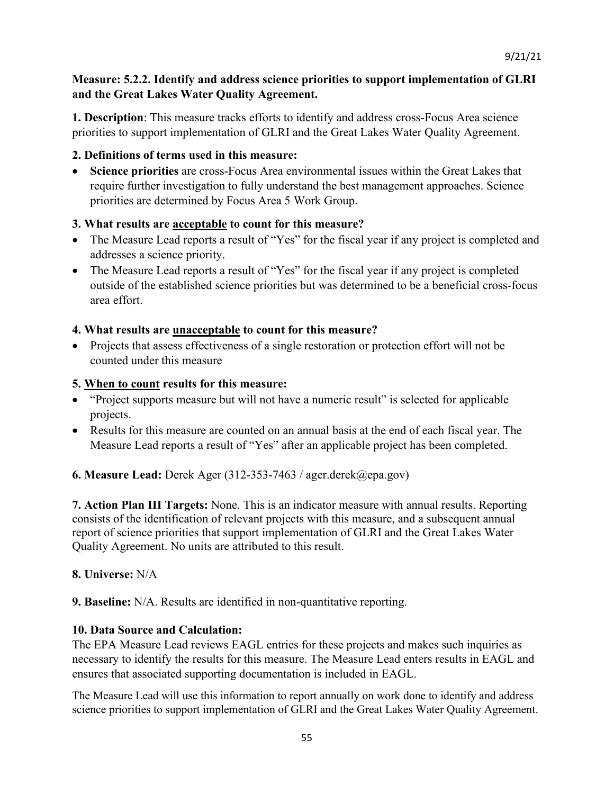# **Measure: 5.2.2. Identify and address science priorities to support implementation of GLRI and the Great Lakes Water Quality Agreement.**

**1. Description**: This measure tracks efforts to identify and address cross-Focus Area science priorities to support implementation of GLRI and the Great Lakes Water Quality Agreement.

# **2. Definitions of terms used in this measure:**

• **Science priorities** are cross-Focus Area environmental issues within the Great Lakes that require further investigation to fully understand the best management approaches. Science priorities are determined by Focus Area 5 Work Group.

# **3. What results are acceptable to count for this measure?**

- The Measure Lead reports a result of "Yes" for the fiscal year if any project is completed and addresses a science priority.
- The Measure Lead reports a result of "Yes" for the fiscal year if any project is completed outside of the established science priorities but was determined to be a beneficial cross-focus area effort.

# **4. What results are unacceptable to count for this measure?**

• Projects that assess effectiveness of a single restoration or protection effort will not be counted under this measure

# **5. When to count results for this measure:**

- "Project supports measure but will not have a numeric result" is selected for applicable projects.
- Results for this measure are counted on an annual basis at the end of each fiscal year. The Measure Lead reports a result of "Yes" after an applicable project has been completed.

# **6. Measure Lead:** Derek Ager (312-353-7463 / ager.derek@epa.gov)

**7. Action Plan III Targets:** None. This is an indicator measure with annual results. Reporting consists of the identification of relevant projects with this measure, and a subsequent annual report of science priorities that support implementation of GLRI and the Great Lakes Water Quality Agreement. No units are attributed to this result.

### **8. Universe:** N/A

**9. Baseline:** N/A. Results are identified in non-quantitative reporting.

### **10. Data Source and Calculation:**

The EPA Measure Lead reviews EAGL entries for these projects and makes such inquiries as necessary to identify the results for this measure. The Measure Lead enters results in EAGL and ensures that associated supporting documentation is included in EAGL.

The Measure Lead will use this information to report annually on work done to identify and address science priorities to support implementation of GLRI and the Great Lakes Water Quality Agreement.